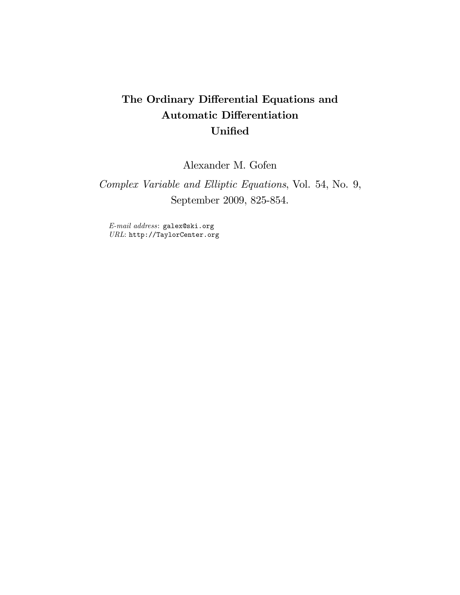# The Ordinary Differential Equations and Automatic Differentiation Unified

Alexander M. Gofen

Complex Variable and Elliptic Equations, Vol. 54, No. 9, September 2009, 825-854.

E-mail address: galex@ski.org URL: http://TaylorCenter.org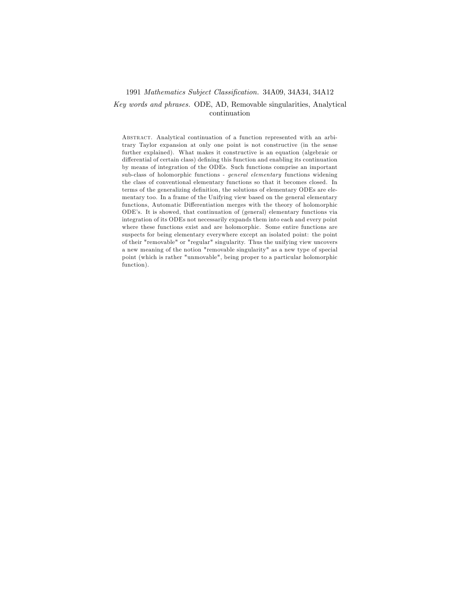### 1991 Mathematics Subject Classification. 34A09, 34A34, 34A12

# Key words and phrases. ODE, AD, Removable singularities, Analytical continuation

Abstract. Analytical continuation of a function represented with an arbitrary Taylor expansion at only one point is not constructive (in the sense further explained). What makes it constructive is an equation (algebraic or differential of certain class) defining this function and enabling its continuation by means of integration of the ODEs. Such functions comprise an important sub-class of holomorphic functions - general elementary functions widening the class of conventional elementary functions so that it becomes closed. In terms of the generalizing definition, the solutions of elementary ODEs are elementary too. In a frame of the Unifying view based on the general elementary functions, Automatic Differentiation merges with the theory of holomorphic ODEís. It is showed, that continuation of (general) elementary functions via integration of its ODEs not necessarily expands them into each and every point where these functions exist and are holomorphic. Some entire functions are suspects for being elementary everywhere except an isolated point: the point of their "removable" or "regular" singularity. Thus the unifying view uncovers a new meaning of the notion "removable singularity" as a new type of special point (which is rather "unmovable", being proper to a particular holomorphic function).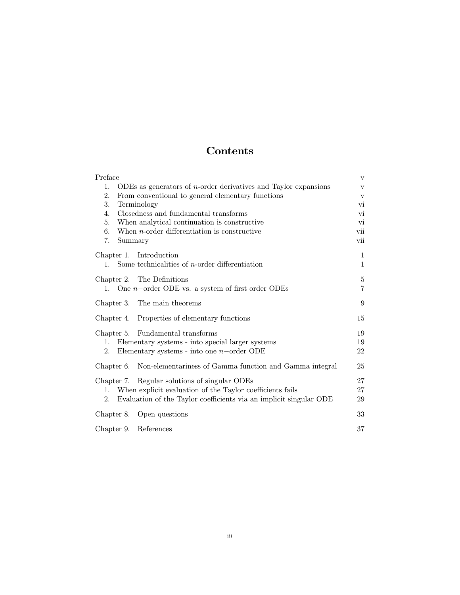# Contents

| Preface                                                                              | V            |
|--------------------------------------------------------------------------------------|--------------|
| ODEs as generators of $n$ -order derivatives and Taylor expansions<br>$\mathbf{1}$ . | $\mathbf v$  |
| 2.<br>From conventional to general elementary functions                              | $\mathbf{V}$ |
| 3.<br>Terminology                                                                    | V1           |
| Closedness and fundamental transforms<br>4.                                          | $_{\rm V1}$  |
| When analytical continuation is constructive<br>5.                                   | vi           |
| When $n$ -order differentiation is constructive<br>6.                                | vii          |
| Summary<br>7.                                                                        | vii          |
| Chapter 1. Introduction                                                              | $\mathbf{1}$ |
| 1. Some technicalities of <i>n</i> -order differentiation                            | 1            |
| Chapter 2. The Definitions                                                           | 5            |
| 1. One $n$ -order ODE vs. a system of first order ODEs                               | 7            |
| Chapter 3. The main theorems                                                         | 9            |
| Chapter 4. Properties of elementary functions                                        | 15           |
| Fundamental transforms<br>Chapter 5.                                                 | 19           |
| Elementary systems - into special larger systems<br>1.                               | 19           |
| Elementary systems - into one $n$ -order ODE<br>2.                                   | 22           |
| Non-elementariness of Gamma function and Gamma integral<br>Chapter 6.                | 25           |
| Chapter 7. Regular solutions of singular ODEs                                        | 27           |
| When explicit evaluation of the Taylor coefficients fails<br>$1_{\cdot}$             | 27           |
| Evaluation of the Taylor coefficients via an implicit singular ODE<br>2.             | 29           |
| Chapter 8. Open questions                                                            | 33           |
| Chapter 9. References                                                                | 37           |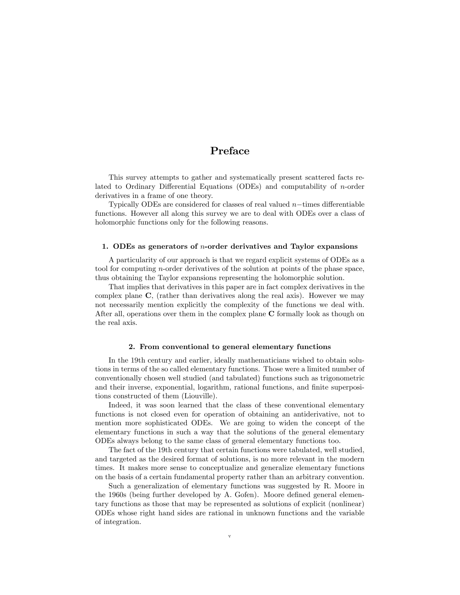# Preface

This survey attempts to gather and systematically present scattered facts related to Ordinary Differential Equations (ODEs) and computability of  $n$ -order derivatives in a frame of one theory.

Typically ODEs are considered for classes of real valued  $n$ -times differentiable functions. However all along this survey we are to deal with ODEs over a class of holomorphic functions only for the following reasons.

### 1. ODEs as generators of n-order derivatives and Taylor expansions

A particularity of our approach is that we regard explicit systems of ODEs as a tool for computing n-order derivatives of the solution at points of the phase space, thus obtaining the Taylor expansions representing the holomorphic solution.

That implies that derivatives in this paper are in fact complex derivatives in the complex plane  $\bf{C}$ , (rather than derivatives along the real axis). However we may not necessarily mention explicitly the complexity of the functions we deal with. After all, operations over them in the complex plane C formally look as though on the real axis.

### 2. From conventional to general elementary functions

In the 19th century and earlier, ideally mathematicians wished to obtain solutions in terms of the so called elementary functions. Those were a limited number of conventionally chosen well studied (and tabulated) functions such as trigonometric and their inverse, exponential, logarithm, rational functions, and finite superpositions constructed of them (Liouville).

Indeed, it was soon learned that the class of these conventional elementary functions is not closed even for operation of obtaining an antiderivative, not to mention more sophisticated ODEs. We are going to widen the concept of the elementary functions in such a way that the solutions of the general elementary ODEs always belong to the same class of general elementary functions too.

The fact of the 19th century that certain functions were tabulated, well studied, and targeted as the desired format of solutions, is no more relevant in the modern times. It makes more sense to conceptualize and generalize elementary functions on the basis of a certain fundamental property rather than an arbitrary convention.

Such a generalization of elementary functions was suggested by R. Moore in the 1960s (being further developed by A. Gofen). Moore defined general elementary functions as those that may be represented as solutions of explicit (nonlinear) ODEs whose right hand sides are rational in unknown functions and the variable of integration.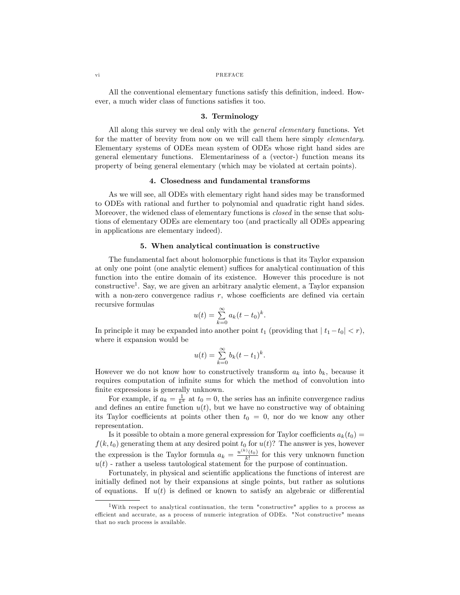#### vi PREFACE

All the conventional elementary functions satisfy this definition, indeed. However, a much wider class of functions satisfies it too.

### 3. Terminology

All along this survey we deal only with the *general elementary* functions. Yet for the matter of brevity from now on we will call them here simply elementary. Elementary systems of ODEs mean system of ODEs whose right hand sides are general elementary functions. Elementariness of a (vector-) function means its property of being general elementary (which may be violated at certain points).

### 4. Closedness and fundamental transforms

As we will see, all ODEs with elementary right hand sides may be transformed to ODEs with rational and further to polynomial and quadratic right hand sides. Moreover, the widened class of elementary functions is closed in the sense that solutions of elementary ODEs are elementary too (and practically all ODEs appearing in applications are elementary indeed).

### 5. When analytical continuation is constructive

The fundamental fact about holomorphic functions is that its Taylor expansion at only one point (one analytic element) suffices for analytical continuation of this function into the entire domain of its existence. However this procedure is not constructive<sup>1</sup>. Say, we are given an arbitrary analytic element, a Taylor expansion with a non-zero convergence radius  $r$ , whose coefficients are defined via certain recursive formulas

$$
u(t) = \sum_{k=0}^{\infty} a_k (t - t_0)^k.
$$

In principle it may be expanded into another point  $t_1$  (providing that  $|t_1-t_0| < r$ ), where it expansion would be

$$
u(t) = \sum_{k=0}^{\infty} b_k (t - t_1)^k.
$$

However we do not know how to constructively transform  $a_k$  into  $b_k$ , because it requires computation of infinite sums for which the method of convolution into finite expressions is generally unknown.

For example, if  $a_k = \frac{1}{k^k}$  at  $t_0 = 0$ , the series has an infinite convergence radius and defines an entire function  $u(t)$ , but we have no constructive way of obtaining its Taylor coefficients at points other then  $t_0 = 0$ , nor do we know any other representation.

Is it possible to obtain a more general expression for Taylor coefficients  $a_k(t_0) =$  $f(k, t_0)$  generating them at any desired point  $t_0$  for  $u(t)$ ? The answer is yes, however the expression is the Taylor formula  $a_k = \frac{u^{(k)}(t_0)}{k!}$  for this very unknown function  $u(t)$  - rather a useless tautological statement for the purpose of continuation.

Fortunately, in physical and scientific applications the functions of interest are initially defined not by their expansions at single points, but rather as solutions of equations. If  $u(t)$  is defined or known to satisfy an algebraic or differential

<sup>&</sup>lt;sup>1</sup>With respect to analytical continuation, the term "constructive" applies to a process as efficient and accurate, as a process of numeric integration of ODEs. "Not constructive" means that no such process is available.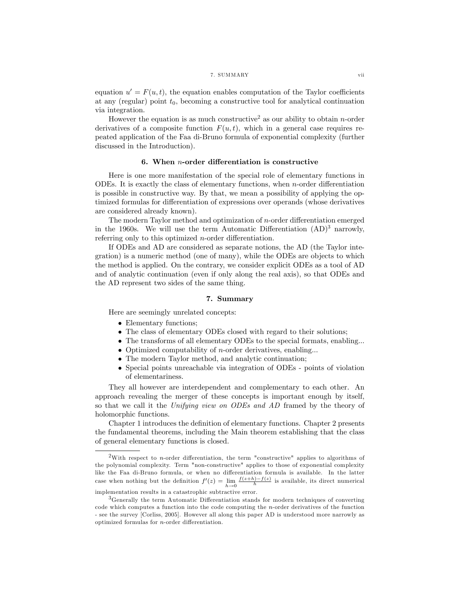equation  $u' = F(u, t)$ , the equation enables computation of the Taylor coefficients at any (regular) point  $t_0$ , becoming a constructive tool for analytical continuation via integration.

However the equation is as much constructive<sup>2</sup> as our ability to obtain *n*-order derivatives of a composite function  $F(u, t)$ , which in a general case requires repeated application of the Faa di-Bruno formula of exponential complexity (further discussed in the Introduction).

# 6. When  $n$ -order differentiation is constructive

Here is one more manifestation of the special role of elementary functions in ODEs. It is exactly the class of elementary functions, when n-order differentiation is possible in constructive way. By that, we mean a possibility of applying the optimized formulas for differentiation of expressions over operands (whose derivatives are considered already known).

The modern Taylor method and optimization of  $n$ -order differentiation emerged in the 1960s. We will use the term Automatic Differentiation  $(AD)^3$  narrowly, referring only to this optimized *n*-order differentiation.

If ODEs and AD are considered as separate notions, the AD (the Taylor integration) is a numeric method (one of many), while the ODEs are objects to which the method is applied. On the contrary, we consider explicit ODEs as a tool of AD and of analytic continuation (even if only along the real axis), so that ODEs and the AD represent two sides of the same thing.

#### 7. Summary

Here are seemingly unrelated concepts:

- Elementary functions;
- The class of elementary ODEs closed with regard to their solutions;
- The transforms of all elementary ODEs to the special formats, enabling...
- $\bullet$  Optimized computability of *n*-order derivatives, enabling...
- The modern Taylor method, and analytic continuation;
- Special points unreachable via integration of ODEs points of violation of elementariness.

They all however are interdependent and complementary to each other. An approach revealing the merger of these concepts is important enough by itself, so that we call it the Unifying view on ODEs and AD framed by the theory of holomorphic functions.

Chapter 1 introduces the definition of elementary functions. Chapter 2 presents the fundamental theorems, including the Main theorem establishing that the class of general elementary functions is closed.

<sup>&</sup>lt;sup>2</sup>With respect to *n*-order differentiation, the term "constructive" applies to algorithms of the polynomial complexity. Term "non-constructive" applies to those of exponential complexity like the Faa di-Bruno formula, or when no differentiation formula is available. In the latter case when nothing but the definition  $f'(z) = \lim_{h \to 0}$  $\frac{f(z+h)-f(z)}{h}$  is available, its direct numerical

implementation results in a catastrophic subtractive error.

<sup>&</sup>lt;sup>3</sup>Generally the term Automatic Differentiation stands for modern techniques of converting code which computes a function into the code computing the n-order derivatives of the function - see the survey [Corliss, 2005]. However all along this paper AD is understood more narrowly as optimized formulas for  $n$ -order differentiation.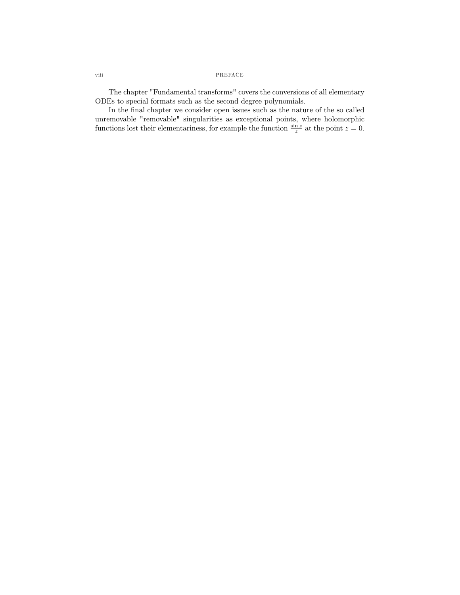# viii PREFACE

The chapter "Fundamental transforms" covers the conversions of all elementary ODEs to special formats such as the second degree polynomials.

In the final chapter we consider open issues such as the nature of the so called unremovable "removable" singularities as exceptional points, where holomorphic functions lost their elementariness, for example the function  $\frac{\sin z}{z}$  at the point  $z = 0$ .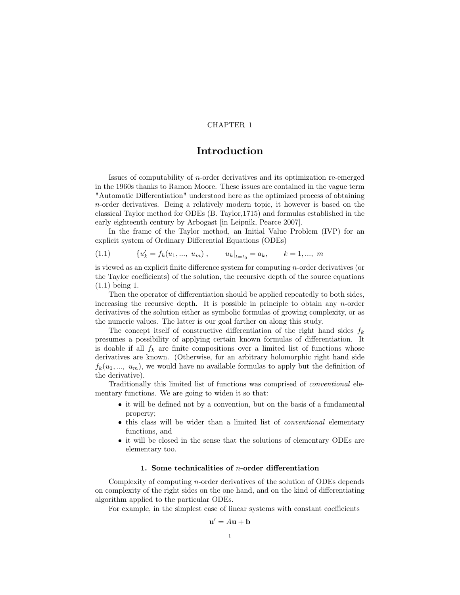# Introduction

Issues of computability of n-order derivatives and its optimization re-emerged in the 1960s thanks to Ramon Moore. These issues are contained in the vague term "Automatic Differentiation" understood here as the optimized process of obtaining n-order derivatives. Being a relatively modern topic, it however is based on the classical Taylor method for ODEs (B. Taylor,1715) and formulas established in the early eighteenth century by Arbogast [in Leipnik, Pearce 2007].

In the frame of the Taylor method, an Initial Value Problem (IVP) for an explicit system of Ordinary Differential Equations (ODEs)

(1.1) 
$$
\{u'_k = f_k(u_1, ..., u_m), \qquad u_k|_{t=t_0} = a_k, \qquad k = 1, ..., m
$$

is viewed as an explicit finite difference system for computing  $n$ -order derivatives (or the Taylor coefficients) of the solution, the recursive depth of the source equations (1.1) being 1.

Then the operator of differentiation should be applied repeatedly to both sides, increasing the recursive depth. It is possible in principle to obtain any n-order derivatives of the solution either as symbolic formulas of growing complexity, or as the numeric values. The latter is our goal farther on along this study.

The concept itself of constructive differentiation of the right hand sides  $f_k$ presumes a possibility of applying certain known formulas of differentiation. It is doable if all  $f_k$  are finite compositions over a limited list of functions whose derivatives are known. (Otherwise, for an arbitrary holomorphic right hand side  $f_k(u_1, ..., u_m)$ , we would have no available formulas to apply but the definition of the derivative).

Traditionally this limited list of functions was comprised of conventional elementary functions. We are going to widen it so that:

- $\bullet$  it will be defined not by a convention, but on the basis of a fundamental property;
- this class will be wider than a limited list of conventional elementary functions, and
- it will be closed in the sense that the solutions of elementary ODEs are elementary too.

### 1. Some technicalities of  $n$ -order differentiation

Complexity of computing n-order derivatives of the solution of ODEs depends on complexity of the right sides on the one hand, and on the kind of differentiating algorithm applied to the particular ODEs.

For example, in the simplest case of linear systems with constant coefficients

 $\mathbf b$ 

$$
= A\mathbf{u} +
$$

 $\mathbf{u}'$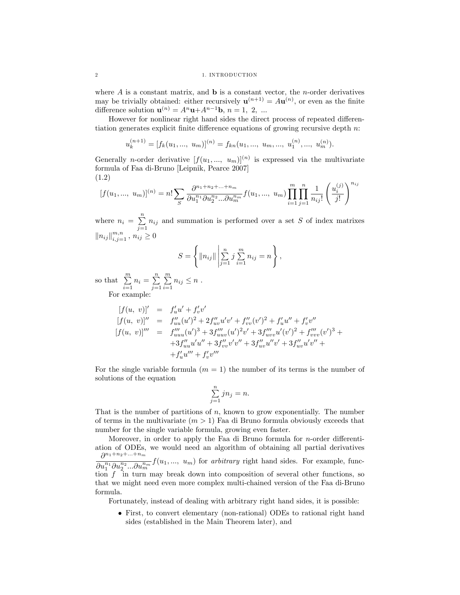where  $A$  is a constant matrix, and  $\bf{b}$  is a constant vector, the *n*-order derivatives may be trivially obtained: either recursively  $\mathbf{u}^{(n+1)} = A\mathbf{u}^{(n)}$ , or even as the finite difference solution  $\mathbf{u}^{(n)} = A^n \mathbf{u} + A^{n-1} \mathbf{b}, n = 1, 2, ...$ 

However for nonlinear right hand sides the direct process of repeated differentiation generates explicit finite difference equations of growing recursive depth  $n$ :

$$
u_k^{(n+1)} = [f_k(u_1, ..., u_m)]^{(n)} = f_{kn}(u_1, ..., u_m, ..., u_1^{(n)}, ..., u_m^{(n)}).
$$

Generally *n*-order derivative  $[f(u_1, ..., u_m)]^{(n)}$  is expressed via the multivariate formula of Faa di-Bruno [Leipnik, Pearce 2007] (1.2)

$$
[f(u_1, ..., u_m)]^{(n)} = n! \sum_{S} \frac{\partial^{n_1+n_2+...+n_m}}{\partial u_1^{n_1} \partial u_2^{n_2} ... \partial u_m^{n_m}} f(u_1, ..., u_m) \prod_{i=1}^m \prod_{j=1}^n \frac{1}{n_{ij}!} \left(\frac{u_i^{(j)}}{j!}\right)^{n_{ij}}
$$

where  $n_i = \sum_{i=1}^{n}$  $\sum_{j=1} n_{ij}$  and summation is performed over a set S of index matrixes  $||n_{ij}||_{i,j=1}^{m,n}, n_{ij} \geq 0$ 

$$
S = \left\{ ||n_{ij}|| \left| \sum_{j=1}^{n} j \sum_{i=1}^{m} n_{ij} = n \right| \right\},\
$$

so that  $\sum_{m=1}^{m}$  $\sum_{i=1}^{m} n_i = \sum_{j=1}^{n}$  $j=1$  $\sum_{i=1}^{m}$  $\sum_{i=1} n_{ij} \leq n$ .

For example:

$$
[f(u, v)]' = f'_uu' + f'_vv'
$$
  
\n
$$
[f(u, v)]'' = f''_{uu}(u')^2 + 2f''_{uv}u'v' + f''_{vv}(v')^2 + f'_uu'' + f'_vv''
$$
  
\n
$$
[f(u, v)]''' = f''_{uuu}(u')^3 + 3f''_{uuv}(u')^2v' + 3f''_{uvv}u'(v')^2 + f''_{vvv}(v')^3 +
$$
  
\n
$$
+3f''_{uu}u'u'' + 3f''_{vv}v'v'' + 3f''_{uv}u''v' + 3f''_{uv}u'v'' +
$$
  
\n
$$
+f'_uu''' + f'_vv'''
$$

For the single variable formula  $(m = 1)$  the number of its terms is the number of solutions of the equation

$$
\sum_{j=1}^{n} j n_j = n.
$$

That is the number of partitions of  $n$ , known to grow exponentially. The number of terms in the multivariate  $(m > 1)$  Faa di Bruno formula obviously exceeds that number for the single variable formula, growing even faster.

Moreover, in order to apply the Faa di Bruno formula for *n*-order differentiation of ODEs, we would need an algorithm of obtaining all partial derivatives  $\partial$  $\partial^{n_1+n_2+\ldots+n_m}$  $\overline{\partial u_1^{n_1} \partial u_2^{n_2} \dots \partial u_m^{n_m}} f(u_1, \dots, u_m)$  for arbitrary right hand sides. For example, function  $f$  in turn may break down into composition of several other functions, so that we might need even more complex multi-chained version of the Faa di-Bruno formula.

Fortunately, instead of dealing with arbitrary right hand sides, it is possible:

 First, to convert elementary (non-rational) ODEs to rational right hand sides (established in the Main Theorem later), and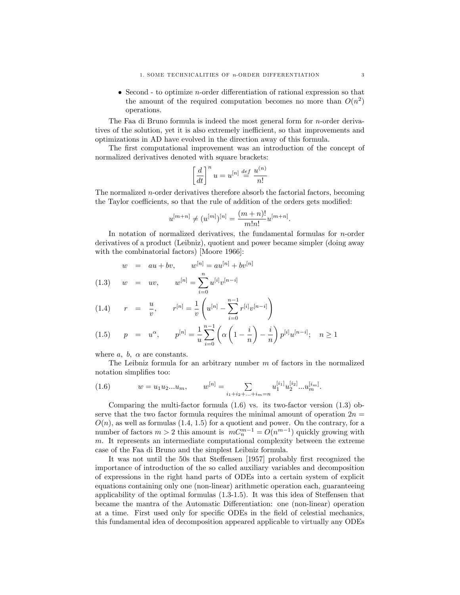$\bullet$  Second - to optimize *n*-order differentiation of rational expression so that the amount of the required computation becomes no more than  $O(n^2)$ operations.

The Faa di Bruno formula is indeed the most general form for n-order derivatives of the solution, yet it is also extremely inefficient, so that improvements and optimizations in AD have evolved in the direction away of this formula.

The first computational improvement was an introduction of the concept of normalized derivatives denoted with square brackets:

$$
\left[\frac{d}{dt}\right]^nu=u^{[n]}\stackrel{def}{=}\frac{u^{(n)}}{n!}
$$

The normalized n-order derivatives therefore absorb the factorial factors, becoming the Taylor coefficients, so that the rule of addition of the orders gets modified:

$$
u^{[m+n]} \neq (u^{[m]})^{[n]} = \frac{(m+n)!}{m!n!}u^{[m+n]}.
$$

In notation of normalized derivatives, the fundamental formulas for n-order derivatives of a product (Leibniz), quotient and power became simpler (doing away with the combinatorial factors) [Moore 1966]:

$$
w = au + bv
$$
,  $w^{[n]} = au^{[n]} + bv^{[n]}$ 

(1.3) 
$$
w = uv, \qquad w^{[n]} = \sum_{i=0}^{n} u^{[i]} v^{[n-i]}
$$

(1.4) 
$$
r = \frac{u}{v}, \qquad r^{[n]} = \frac{1}{v} \left( u^{[n]} - \sum_{i=0}^{n-1} r^{[i]} v^{[n-i]} \right)
$$

$$
(1.5) \quad p = u^{\alpha}, \quad p^{[n]} = \frac{1}{u} \sum_{i=0}^{n-1} \left( \alpha \left( 1 - \frac{i}{n} \right) - \frac{i}{n} \right) p^{[i]} u^{[n-i]}; \quad n \ge 1
$$

where  $a, b, \alpha$  are constants.

The Leibniz formula for an arbitrary number  $m$  of factors in the normalized notation simplifies too:

(1.6) 
$$
w = u_1 u_2 ... u_m, \qquad w^{[n]} = \sum_{i_1 + i_2 + ... + i_m = n} u_1^{[i_1]} u_2^{[i_2]} ... u_m^{[i_m]}.
$$

Comparing the multi-factor formula (1.6) vs. its two-factor version (1.3) observe that the two factor formula requires the minimal amount of operation  $2n =$  $O(n)$ , as well as formulas (1.4, 1.5) for a quotient and power. On the contrary, for a number of factors  $m > 2$  this amount is  $mC_n^{m-1} = O(n^{m-1})$  quickly growing with m. It represents an intermediate computational complexity between the extreme case of the Faa di Bruno and the simplest Leibniz formula.

It was not until the 50s that Steffensen [1957] probably first recognized the importance of introduction of the so called auxiliary variables and decomposition of expressions in the right hand parts of ODEs into a certain system of explicit equations containing only one (non-linear) arithmetic operation each, guaranteeing applicability of the optimal formulas  $(1.3-1.5)$ . It was this idea of Steffensen that became the mantra of the Automatic Differentiation: one (non-linear) operation at a time. First used only for specific ODEs in the field of celestial mechanics, this fundamental idea of decomposition appeared applicable to virtually any ODEs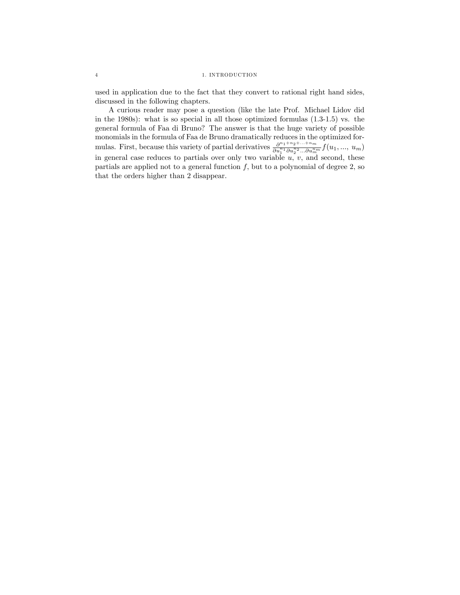used in application due to the fact that they convert to rational right hand sides, discussed in the following chapters.

A curious reader may pose a question (like the late Prof. Michael Lidov did in the 1980s): what is so special in all those optimized formulas (1.3-1.5) vs. the general formula of Faa di Bruno? The answer is that the huge variety of possible monomials in the formula of Faa de Bruno dramatically reduces in the optimized formulas. First, because this variety of partial derivatives  $\frac{\partial^{n_1+n_2+\dots+n_m}}{\partial u_1^{n_1}\partial u_2^{n_2}...\partial u_m^{n_m}}f(u_1,...,u_m)$ in general case reduces to partials over only two variable  $u, v$ , and second, these partials are applied not to a general function  $f$ , but to a polynomial of degree 2, so that the orders higher than 2 disappear.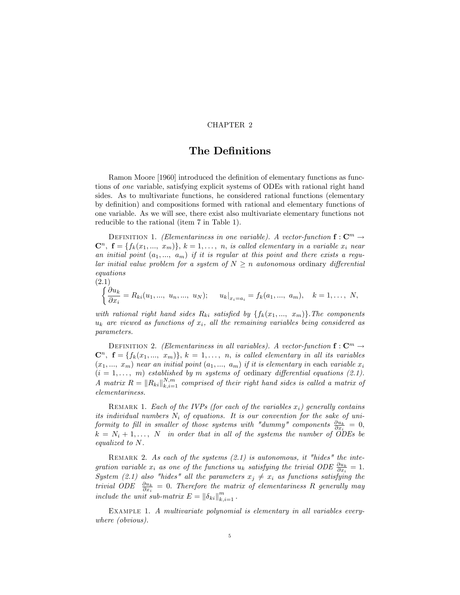# The Definitions

Ramon Moore [1960] introduced the definition of elementary functions as functions of one variable, satisfying explicit systems of ODEs with rational right hand sides. As to multivariate functions, he considered rational functions (elementary by deÖnition) and compositions formed with rational and elementary functions of one variable. As we will see, there exist also multivariate elementary functions not reducible to the rational (item 7 in Table 1).

DEFINITION 1. (Elementariness in one variable). A vector-function  $\mathbf{f}: \mathbf{C}^m \to$  $\mathbf{C}^n$ ,  $\mathbf{f} = \{f_k(x_1, ..., x_m)\}, k = 1, ..., n$ , is called elementary in a variable  $x_i$  near an initial point  $(a_1, ..., a_m)$  if it is regular at this point and there exists a regular initial value problem for a system of  $N \geq n$  autonomous ordinary differential equations

$$
\begin{cases}\n(2.1) \\
\frac{\partial u_k}{\partial x_i} = R_{ki}(u_1, ..., u_n, ..., u_N); \quad u_k|_{x_i = a_i} = f_k(a_1, ..., a_m), \quad k = 1, ..., N,\n\end{cases}
$$

with rational right hand sides  $R_{ki}$  satisfied by  $\{f_k(x_1, ..., x_m)\}\)$ . The components  $u_k$  are viewed as functions of  $x_i$ , all the remaining variables being considered as parameters.

DEFINITION 2. (Elementariness in all variables). A vector-function  $f: \mathbb{C}^m \to$  $\mathbb{C}^n$ ,  $\mathbf{f} = \{f_k(x_1, ..., x_m)\}, k = 1, ..., n$ , is called elementary in all its variables  $(x_1, ..., x_m)$  near an initial point  $(a_1, ..., a_m)$  if it is elementary in each variable  $x_i$  $(i = 1, \ldots, m)$  established by m systems of ordinary differential equations (2.1). A matrix  $R = \|R_{ki}\|_{k,i=1}^{N,m}$  comprised of their right hand sides is called a matrix of elementariness.

REMARK 1. Each of the IVPs (for each of the variables  $x_i$ ) generally contains its individual numbers  $N_i$  of equations. It is our convention for the sake of uniformity to fill in smaller of those systems with "dummy" components  $\frac{\partial u_k}{\partial x_i} = 0$ ,  $k = N_i + 1, \ldots, N$  in order that in all of the systems the number of ODEs be equalized to N.

REMARK 2. As each of the systems  $(2.1)$  is autonomous, it "hides" the integration variable  $x_i$  as one of the functions  $u_k$  satisfying the trivial ODE  $\frac{\partial u_k}{\partial x_i} = 1$ . System (2.1) also "hides" all the parameters  $x_j \neq x_i$  as functions satisfying the trivial ODE  $\frac{\partial u_k}{\partial x_i} = 0$ . Therefore the matrix of elementariness R generally may include the unit sub-matrix  $E = ||\delta_{ki}||_{k,i=1}^m$ .

EXAMPLE 1. A multivariate polynomial is elementary in all variables everywhere (obvious).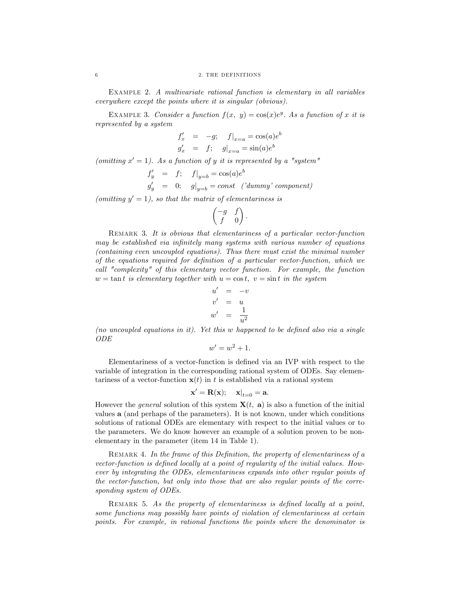Example 2. A multivariate rational function is elementary in all variables everywhere except the points where it is singular (obvious).

EXAMPLE 3. Consider a function  $f(x, y) = cos(x)e^{y}$ . As a function of x it is represented by a system

$$
f'_{x} = -g; \quad f|_{x=a} = \cos(a)e^{b}
$$
  

$$
g'_{x} = f; \quad g|_{x=a} = \sin(a)e^{b}
$$

(omitting  $x' = 1$ ). As a function of y it is represented by a "system"

$$
f'_y = f; \t f|_{y=b} = \cos(a)e^b
$$
  
\n
$$
g'_y = 0; \t g|_{y=b} = const \t ('dummy' component)
$$

(omitting  $y' = 1$ ), so that the matrix of elementariness is

$$
\begin{pmatrix} -g & f \ f & 0 \end{pmatrix}.
$$

REMARK 3. It is obvious that elementariness of a particular vector-function may be established via infinitely many systems with various number of equations (containing even uncoupled equations). Thus there must exist the minimal number of the equations required for definition of a particular vector-function, which we call "complexity" of this elementary vector function. For example, the function  $w = \tan t$  is elementary together with  $u = \cos t$ ,  $v = \sin t$  in the system

$$
u' = -v
$$
  

$$
v' = u
$$
  

$$
w' = \frac{1}{u^2}
$$

(no uncoupled equations in it). Yet this  $w$  happened to be defined also via a single ODE

$$
w'=w^2+1.
$$

Elementariness of a vector-function is defined via an IVP with respect to the variable of integration in the corresponding rational system of ODEs. Say elementariness of a vector-function  $\mathbf{x}(t)$  in t is established via a rational system

$$
\mathbf{x}' = \mathbf{R}(\mathbf{x}); \quad \left. \mathbf{x} \right|_{t=0} = \mathbf{a}.
$$

However the *general* solution of this system  $\mathbf{X}(t, \mathbf{a})$  is also a function of the initial values a (and perhaps of the parameters). It is not known, under which conditions solutions of rational ODEs are elementary with respect to the initial values or to the parameters. We do know however an example of a solution proven to be nonelementary in the parameter (item 14 in Table 1).

REMARK 4. In the frame of this Definition, the property of elementariness of a vector-function is defined locally at a point of regularity of the initial values. However by integrating the ODEs, elementariness expands into other regular points of the vector-function, but only into those that are also regular points of the corresponding system of ODEs.

REMARK 5. As the property of elementariness is defined locally at a point, some functions may possibly have points of violation of elementariness at certain points. For example, in rational functions the points where the denominator is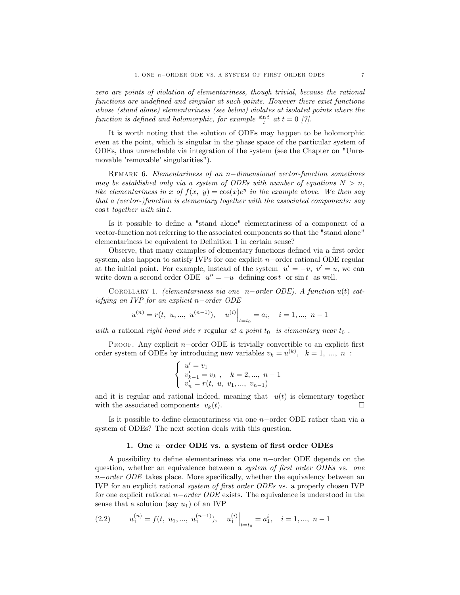zero are points of violation of elementariness, though trivial, because the rational functions are undefined and singular at such points. However there exist functions whose (stand alone) elementariness (see below) violates at isolated points where the function is defined and holomorphic, for example  $\frac{\sin t}{t}$  at  $t = 0$  [7].

It is worth noting that the solution of ODEs may happen to be holomorphic even at the point, which is singular in the phase space of the particular system of ODEs, thus unreachable via integration of the system (see the Chapter on "Unremovable 'removable' singularities").

REMARK 6. Elementariness of an  $n$ -dimensional vector-function sometimes may be established only via a system of ODEs with number of equations  $N > n$ , like elementariness in x of  $f(x, y) = cos(x)e^y$  in the example above. We then say that a (vector-)function is elementary together with the associated components: say  $\cos t$  together with  $\sin t$ .

Is it possible to define a "stand alone" elementariness of a component of a vector-function not referring to the associated components so that the "stand alone" elementariness be equivalent to Definition 1 in certain sense?

Observe, that many examples of elementary functions defined via a first order system, also happen to satisfy IVPs for one explicit  $n$ -order rational ODE regular at the initial point. For example, instead of the system  $u' = -v$ ,  $v' = u$ , we can write down a second order ODE  $u'' = -u$  defining  $\cos t$  or  $\sin t$  as well.

COROLLARY 1. (elementariness via one n-order ODE). A function  $u(t)$  satisfying an IVP for an explicit  $n$ -order ODE

$$
u^{(n)} = r(t, u, ..., u^{(n-1)}),
$$
  $u^{(i)}\Big|_{t=t_0} = a_i, i = 1, ..., n-1$ 

with a rational right hand side r regular at a point  $t_0$  is elementary near  $t_0$ .

PROOF. Any explicit  $n$ -order ODE is trivially convertible to an explicit first order system of ODEs by introducing new variables  $v_k = u^{(k)}$ ,  $k = 1, ..., n$ :

$$
\left\{\begin{array}{l} u'=v_1\\ v'_{k-1}=v_k\ ,\quad k=2,...,\ n-1\\ v'_n=r(t,\ u,\ v_1,...,\ v_{n-1})\end{array}\right.
$$

and it is regular and rational indeed, meaning that  $u(t)$  is elementary together with the associated components  $v_k(t)$ .

Is it possible to define elementariness via one  $n$ -order ODE rather than via a system of ODEs? The next section deals with this question.

#### 1. One  $n$ -order ODE vs. a system of first order ODEs

A possibility to define elementariness via one  $n$ -order ODE depends on the question, whether an equivalence between a *system of first order ODEs* vs. one  $n-order ODE$  takes place. More specifically, whether the equivalency between an IVP for an explicit rational *system of first order ODEs* vs. a properly chosen IVP for one explicit rational  $n-order ODE$  exists. The equivalence is understood in the sense that a solution (say  $u_1$ ) of an IVP

(2.2) 
$$
u_1^{(n)} = f(t, u_1, ..., u_1^{(n-1)}), \quad u_1^{(i)}\Big|_{t=t_0} = a_1^i, \quad i = 1, ..., n-1
$$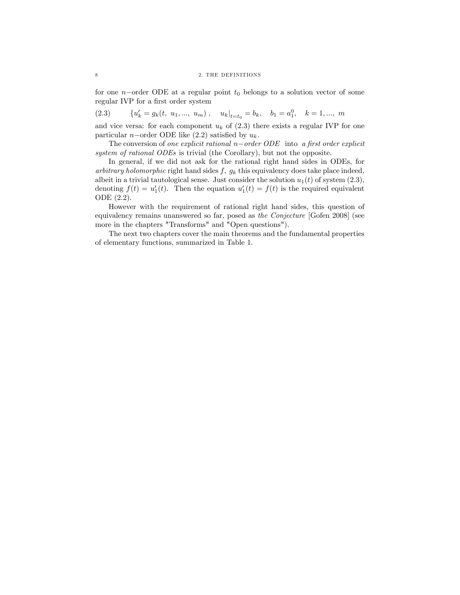for one n-order ODE at a regular point  $t_0$  belongs to a solution vector of some regular IVP for a first order system

 $(2.3)$  $b'_k = g_k(t, u_1, ..., u_m), \quad u_k|_{t=t_0} = b_k, \quad b_1 = a_1^0, \quad k = 1, ..., m$ 

and vice versa: for each component  $u_k$  of (2.3) there exists a regular IVP for one particular *n*-order ODE like  $(2.2)$  satisfied by  $u_k$ .

The conversion of one explicit rational  $n-order ODE$  into a first order explicit system of rational ODEs is trivial (the Corollary), but not the opposite.

In general, if we did not ask for the rational right hand sides in ODEs, for arbitrary holomorphic right hand sides  $f, g_k$  this equivalency does take place indeed, albeit in a trivial tautological sense. Just consider the solution  $u_1(t)$  of system  $(2.3)$ , denoting  $f(t) = u'_1(t)$ . Then the equation  $u'_1(t) = f(t)$  is the required equivalent ODE (2.2).

However with the requirement of rational right hand sides, this question of equivalency remains unanswered so far, posed as the Conjecture [Gofen 2008] (see more in the chapters "Transforms" and "Open questions").

The next two chapters cover the main theorems and the fundamental properties of elementary functions, summarized in Table 1.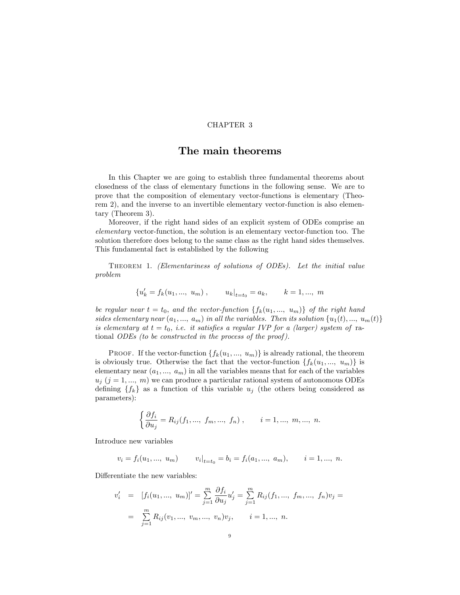# The main theorems

In this Chapter we are going to establish three fundamental theorems about closedness of the class of elementary functions in the following sense. We are to prove that the composition of elementary vector-functions is elementary (Theorem 2), and the inverse to an invertible elementary vector-function is also elementary (Theorem 3).

Moreover, if the right hand sides of an explicit system of ODEs comprise an elementary vector-function, the solution is an elementary vector-function too. The solution therefore does belong to the same class as the right hand sides themselves. This fundamental fact is established by the following

Theorem 1. (Elementariness of solutions of ODEs). Let the initial value problem

$$
\{u'_k = f_k(u_1, ..., u_m)\,, \qquad u_k|_{t=t_0} = a_k, \qquad k = 1, ..., m
$$

be regular near  $t = t_0$ , and the vector-function  $\{f_k(u_1, ..., u_m)\}\$  of the right hand sides elementary near  $(a_1, ..., a_m)$  in all the variables. Then its solution  $\{u_1(t), ..., u_m(t)\}$ is elementary at  $t = t_0$ , i.e. it satisfies a regular IVP for a (larger) system of rational ODEs (to be constructed in the process of the proof ).

PROOF. If the vector-function  $\{f_k(u_1, ..., u_m)\}\$ is already rational, the theorem is obviously true. Otherwise the fact that the vector-function  $\{f_k(u_1, ..., u_m)\}\$ is elementary near  $(a_1, ..., a_m)$  in all the variables means that for each of the variables  $u_j$  (j = 1, ..., m) we can produce a particular rational system of autonomous ODEs defining  $\{f_k\}$  as a function of this variable  $u_j$  (the others being considered as parameters):

$$
\begin{cases} \frac{\partial f_i}{\partial u_j} = R_{ij}(f_1, ..., f_m, ..., f_n) , & i = 1, ..., m, ..., n. \end{cases}
$$

Introduce new variables

$$
v_i = f_i(u_1, ..., u_m)
$$
  $v_i|_{t=t_0} = b_i = f_i(a_1, ..., a_m),$   $i = 1, ..., n.$ 

Differentiate the new variables:

$$
v'_{i} = [f_{i}(u_{1}, ..., u_{m})]' = \sum_{j=1}^{m} \frac{\partial f_{i}}{\partial u_{j}} u'_{j} = \sum_{j=1}^{m} R_{ij}(f_{1}, ..., f_{m}, ..., f_{n}) v_{j} =
$$

$$
= \sum_{j=1}^{m} R_{ij}(v_{1}, ..., v_{m}, ..., v_{n}) v_{j}, \qquad i = 1, ..., n.
$$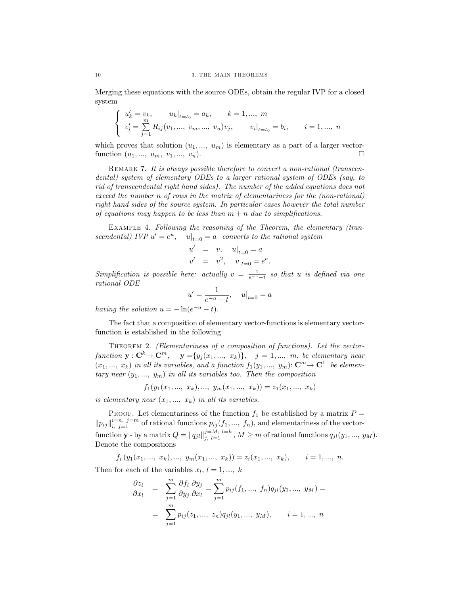Merging these equations with the source ODEs, obtain the regular IVP for a closed system

$$
\left\{\begin{array}{ll} u'_k=v_k,&u_k|_{t=t_0}=a_k,&k=1,...,~m\\ v'_i=\sum\limits_{j=1}^mR_{ij}(v_1,...,~v_m,...,~v_n)v_j,&v_i|_{t=t_0}=b_i,&i=1,...,~n\end{array}\right.
$$

which proves that solution  $(u_1, ..., u_m)$  is elementary as a part of a larger vectorfunction  $(u_1, ..., u_m, v_1, ..., v_n)$ .

REMARK 7. It is always possible therefore to convert a non-rational (transcendental) system of elementary ODEs to a larger rational system of ODEs (say, to rid of transcendental right hand sides). The number of the added equations does not exceed the number n of rows in the matrix of elementariness for the (non-rational) right hand sides of the source system. In particular cases however the total number of equations may happen to be less than  $m + n$  due to simplifications.

EXAMPLE 4. Following the reasoning of the Theorem, the elementary (transcendental) IVP  $u' = e^u$ ,  $u|_{t=0} = a$  converts to the rational system

$$
u' = v, \quad u|_{t=0} = a
$$
  
 $v' = v^2, \quad v|_{t=0} = e^a.$ 

Simplification is possible here: actually  $v = \frac{1}{e^{-a}-t}$  so that u is defined via one rational ODE

$$
u' = \frac{1}{e^{-a} - t}, \quad u|_{t=0} = a
$$

having the solution  $u = -\ln(e^{-a} - t)$ .

The fact that a composition of elementary vector-functions is elementary vectorfunction is established in the following

THEOREM 2. (Elementariness of a composition of functions). Let the vectorfunction  $\mathbf{y}: \mathbf{C}^k \to \mathbf{C}^m$ ,  $\mathbf{y} = \{y_j(x_1, ..., x_k)\}, \quad j = 1, ..., m$ , be elementary near  $(x_1, ..., x_k)$  in all its variables, and a function  $f_1(y_1, ..., y_m)$ :  $\mathbb{C}^m \to \mathbb{C}^1$  be elementary near  $(y_1, ..., y_m)$  in all its variables too. Then the composition

 $f_1(y_1(x_1, ..., x_k), ..., y_m(x_1, ..., x_k)) = z_1(x_1, ..., x_k)$ 

is elementary near  $(x_1, ..., x_k)$  in all its variables.

PROOF. Let elementariness of the function  $f_1$  be established by a matrix  $P =$  $||p_{ij}||_{i, j=1}^{i=n, j=m}$  of rational functions  $p_{ij}(f_1, ..., f_n)$ , and elementariness of the vector- $\text{function }\mathbf{y}\text{ - by a matrix }Q=\left \| q_{jl} \right \|_{j, \,\, l=1}^{j=M, \,\, l=k}, M\geq m \text{ of rational functions }q_{jl}(y_1,...,\,y_M).$ Denote the compositions

 $f_i(y_1(x_1, ..., x_k), ..., y_m(x_1, ..., x_k)) = z_i(x_1, ..., x_k), \quad i = 1, ..., n.$ 

Then for each of the variables  $x_l, l = 1, ..., k$ 

$$
\frac{\partial z_i}{\partial x_l} = \sum_{j=1}^m \frac{\partial f_i}{\partial y_j} \frac{\partial y_j}{\partial x_l} = \sum_{j=1}^m p_{ij}(f_1, ..., f_n) q_{jl}(y_1, ..., y_M) =
$$

$$
= \sum_{j=1}^m p_{ij}(z_1, ..., z_n) q_{jl}(y_1, ..., y_M), \qquad i = 1, ..., n
$$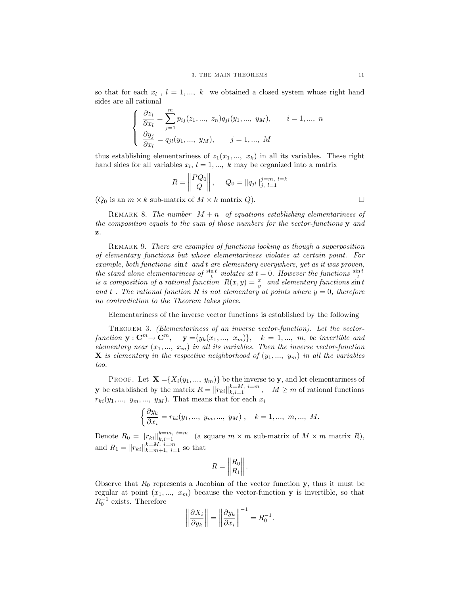so that for each  $x_l$ ,  $l = 1, ..., k$  we obtained a closed system whose right hand sides are all rational

$$
\begin{cases}\n\frac{\partial z_i}{\partial x_l} = \sum_{j=1}^m p_{ij}(z_1, ..., z_n) q_{jl}(y_1, ..., y_M), & i = 1, ..., n \\
\frac{\partial y_j}{\partial x_l} = q_{jl}(y_1, ..., y_M), & j = 1, ..., M\n\end{cases}
$$

thus establishing elementariness of  $z_1(x_1, ..., x_k)$  in all its variables. These right hand sides for all variables  $x_l$ ,  $l = 1, ..., k$  may be organized into a matrix

$$
R = \begin{Vmatrix} PQ_0 \\ Q \end{Vmatrix}, \quad Q_0 = \|q_{jl}\|_{j, l=1}^{j=m, l=k}
$$

 $(Q_0$  is an  $m \times k$  sub-matrix of  $M \times k$  matrix  $Q$ ).

REMARK 8. The number  $M + n$  of equations establishing elementariness of the composition equals to the sum of those numbers for the vector-functions  $\mathbf y$  and z.

REMARK 9. There are examples of functions looking as though a superposition of elementary functions but whose elementariness violates at certain point. For example, both functions sin t and t are elementary everywhere, yet as it was proven, the stand alone elementariness of  $\frac{\sin t}{t}$  violates at  $t = 0$ . However the functions  $\frac{\sin t}{t}$ is a composition of a rational function  $R(x, y) = \frac{x}{y}$  and elementary functions  $\sin t$ and t. The rational function R is not elementary at points where  $y = 0$ , therefore no contradiction to the Theorem takes place.

Elementariness of the inverse vector functions is established by the following

THEOREM 3. (Elementariness of an inverse vector-function). Let the vectorfunction  $\mathbf{y}: \mathbf{C}^m \to \mathbf{C}^m$ ,  $\mathbf{y} = \{y_k(x_1, ..., x_m)\}\$ ,  $k = 1, ..., m$ , be invertible and elementary near  $(x_1, ..., x_m)$  in all its variables. Then the inverse vector-function **X** is elementary in the respective neighborhood of  $(y_1, ..., y_m)$  in all the variables too.

PROOF. Let  $\mathbf{X} = \{X_i(y_1, ..., y_m)\}\$  be the inverse to y, and let elementariness of **y** be established by the matrix  $R = ||r_{ki}||_{k,i=1}^{k=M}$ ,  $M \ge m$  of rational functions  $r_{ki}(y_1, \ldots, y_m, \ldots, y_M)$ . That means that for each  $x_i$ 

$$
\begin{cases} \frac{\partial y_k}{\partial x_i} = r_{ki}(y_1, ..., y_m, ..., y_M) , & k = 1, ..., m, ..., M. \end{cases}
$$

Denote  $R_0 = ||r_{ki}||_{k,i=1}^{k=m, i=m}$  (a square  $m \times m$  sub-matrix of  $M \times m$  matrix  $R$ ), and  $R_1 = ||r_{ki}||_{k=m+1, i=1}^{k=M, i=m}$  so that

$$
R = \left\| \begin{matrix} R_0 \\ R_1 \end{matrix} \right\|.
$$

Observe that  $R_0$  represents a Jacobian of the vector function y, thus it must be regular at point  $(x_1, ..., x_m)$  because the vector-function y is invertible, so that  $R_0^{-1}$  exists. Therefore

$$
\left\|\frac{\partial X_i}{\partial y_k}\right\| = \left\|\frac{\partial y_k}{\partial x_i}\right\|^{-1} = R_0^{-1}.
$$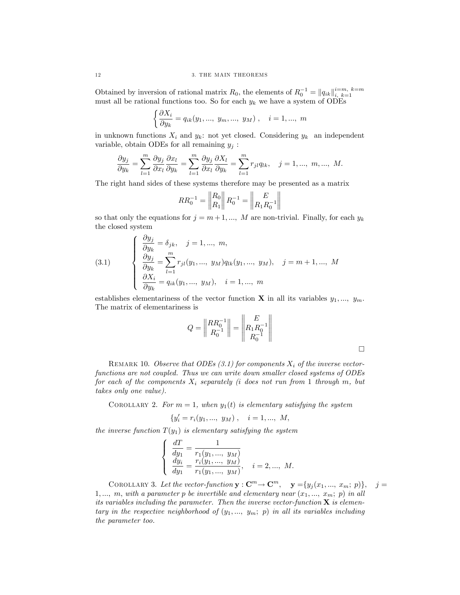Obtained by inversion of rational matrix  $R_0$ , the elements of  $R_0^{-1} = ||q_{ik}||_{i, k=1}^{i=m, k=m}$ must all be rational functions too. So for each  $y_k$  we have a system of ODEs

$$
\left\{\frac{\partial X_i}{\partial y_k} = q_{ik}(y_1, ..., y_m, ..., y_M)\right\}, \quad i = 1, ..., m
$$

in unknown functions  $X_i$  and  $y_k$ : not yet closed. Considering  $y_k$  an independent variable, obtain ODEs for all remaining  $y_i$ :

$$
\frac{\partial y_j}{\partial y_k} = \sum_{l=1}^m \frac{\partial y_j}{\partial x_l} \frac{\partial x_l}{\partial y_k} = \sum_{l=1}^m \frac{\partial y_j}{\partial x_l} \frac{\partial X_l}{\partial y_k} = \sum_{l=1}^m r_{jl} q_{lk}, \quad j = 1, ..., m, ..., M.
$$

The right hand sides of these systems therefore may be presented as a matrix

$$
RR_0^{-1} = \left\| \begin{matrix} R_0 \\ R_1 \end{matrix} \right\| R_0^{-1} = \left\| \begin{matrix} E \\ R_1 R_0^{-1} \end{matrix} \right\|
$$

so that only the equations for  $j = m+1, ..., M$  are non-trivial. Finally, for each  $y_k$ the closed system

(3.1) 
$$
\begin{cases} \frac{\partial y_j}{\partial y_k} = \delta_{jk}, \quad j = 1, ..., m, \\ \frac{\partial y_j}{\partial y_k} = \sum_{l=1}^m r_{jl}(y_1, ..., y_M) q_{lk}(y_1, ..., y_M), \quad j = m+1, ..., M \\ \frac{\partial X_i}{\partial y_k} = q_{ik}(y_1, ..., y_M), \quad i = 1, ..., m \end{cases}
$$

establishes elementariness of the vector function **X** in all its variables  $y_1, ..., y_m$ . The matrix of elementariness is

$$
Q = \left\| \begin{matrix} R R_0^{-1} \\ R_0^{-1} \end{matrix} \right\| = \left\| \begin{matrix} E \\ R_1 R_0^{-1} \\ R_0^{-1} \end{matrix} \right\|
$$

 $\Box$ 

REMARK 10. Observe that ODEs  $(3.1)$  for components  $X_i$  of the inverse vectorfunctions are not coupled. Thus we can write down smaller closed systems of ODEs for each of the components  $X_i$  separately (i does not run from 1 through m, but takes only one value).

COROLLARY 2. For  $m = 1$ , when  $y_1(t)$  is elementary satisfying the system

$$
\{y_i' = r_i(y_1, ..., y_M), \quad i = 1, ..., M,
$$

the inverse function  $T(y_1)$  is elementary satisfying the system

$$
\left\{\begin{array}{l}\frac{dT}{dy_1}=\frac{1}{r_1(y_1,..., y_M)}\\\frac{dy_i}{dy_1}=\frac{r_i(y_1,..., y_M)}{r_1(y_1,..., y_M)},\quad i=2,..., M.\end{array}\right.
$$

COROLLARY 3. Let the vector-function  $\mathbf{y}: \mathbf{C}^m \to \mathbf{C}^m$ ,  $\mathbf{y} = \{y_j(x_1, ..., x_m; p)\}, \quad j =$ 1,..., m, with a parameter p be invertible and elementary near  $(x_1, ..., x_m; p)$  in all its variables including the parameter. Then the inverse vector-function  $X$  is elementary in the respective neighborhood of  $(y_1, ..., y_m; p)$  in all its variables including the parameter too.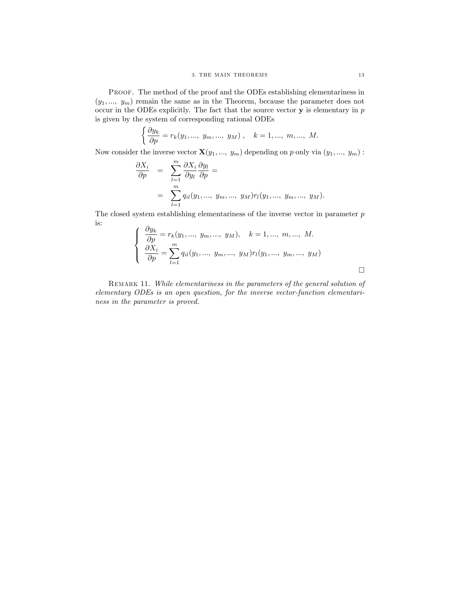PROOF. The method of the proof and the ODEs establishing elementariness in  $(y_1, ..., y_m)$  remain the same as in the Theorem, because the parameter does not occur in the ODEs explicitly. The fact that the source vector  $y$  is elementary in  $p$ is given by the system of corresponding rational ODEs

$$
\left\{\frac{\partial y_k}{\partial p} = r_k(y_1, ..., y_m, ..., y_M), \quad k = 1, ..., m, ..., M.
$$

Now consider the inverse vector  $\mathbf{X}(y_1, ..., y_m)$  depending on p only via  $(y_1, ..., y_m)$ :

$$
\frac{\partial X_i}{\partial p} = \sum_{l=1}^m \frac{\partial X_i}{\partial y_l} \frac{\partial y_l}{\partial p} =
$$
  
= 
$$
\sum_{l=1}^m q_{il}(y_1, ..., y_m, ..., y_M) r_l(y_1, ..., y_m, ..., y_M).
$$

The closed system establishing elementariness of the inverse vector in parameter  $p$ is:  $\mathbf{a}$ 

$$
\begin{cases}\n\frac{\partial y_k}{\partial p} = r_k(y_1, ..., y_m, ..., y_M), & k = 1, ..., m, ..., M. \\
\frac{\partial X_i}{\partial p} = \sum_{l=1}^m q_{il}(y_1, ..., y_m, ..., y_M) r_l(y_1, ..., y_m, ..., y_M)\n\end{cases}
$$

REMARK 11. While elementariness in the parameters of the general solution of elementary ODEs is an open question, for the inverse vector-function elementariness in the parameter is proved.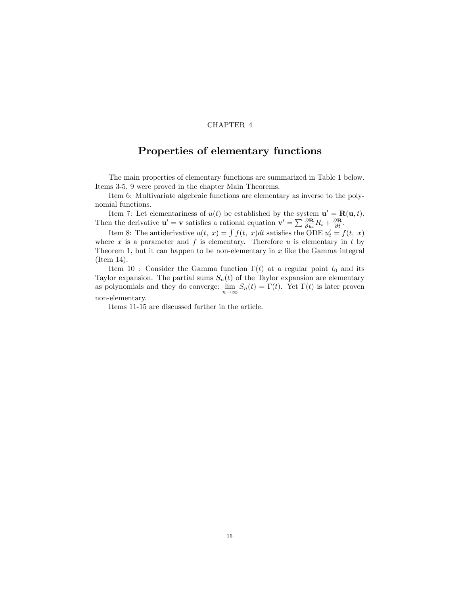# Properties of elementary functions

The main properties of elementary functions are summarized in Table 1 below. Items 3-5, 9 were proved in the chapter Main Theorems.

Item 6: Multivariate algebraic functions are elementary as inverse to the polynomial functions.

Item 7: Let elementariness of  $u(t)$  be established by the system  $\mathbf{u}' = \mathbf{R}(\mathbf{u},t)$ . Then the derivative  $\mathbf{u}' = \mathbf{v}$  satisfies a rational equation  $\mathbf{v}' = \sum \frac{\partial \mathbf{R}}{\partial u_i} R_i + \frac{\partial \mathbf{R}}{\partial t}$ .

Item 8: The antiderivative  $u(t, x) = \int f(t, x)dt$  satisfies the ODE  $u'_t = f(t, x)$ where x is a parameter and  $f$  is elementary. Therefore  $u$  is elementary in  $t$  by Theorem 1, but it can happen to be non-elementary in  $x$  like the Gamma integral (Item 14).

Item 10 : Consider the Gamma function  $\Gamma(t)$  at a regular point  $t_0$  and its Taylor expansion. The partial sums  $S_n(t)$  of the Taylor expansion are elementary as polynomials and they do converge:  $\lim_{n \to \infty} S_n(t) = \Gamma(t)$ . Yet  $\Gamma(t)$  is later proven non-elementary.

Items 11-15 are discussed farther in the article.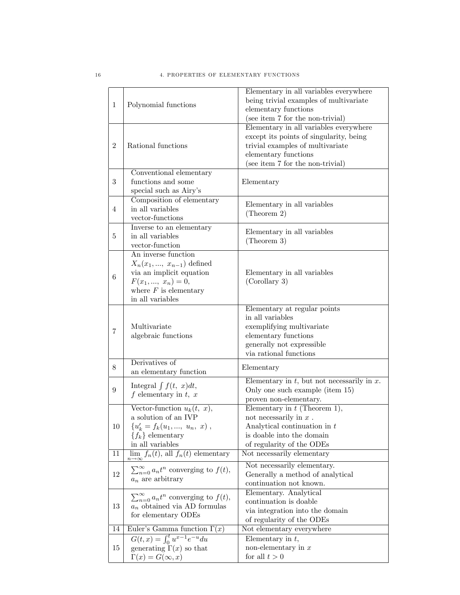|                |                                                             | Elementary in all variables everywhere                  |
|----------------|-------------------------------------------------------------|---------------------------------------------------------|
| $\mathbf{1}$   | Polynomial functions                                        | being trivial examples of multivariate                  |
|                |                                                             | elementary functions                                    |
|                |                                                             | (see item 7 for the non-trivial)                        |
| $\overline{2}$ | Rational functions                                          | Elementary in all variables everywhere                  |
|                |                                                             | except its points of singularity, being                 |
|                |                                                             | trivial examples of multivariate                        |
|                |                                                             | elementary functions                                    |
|                |                                                             | (see item 7 for the non-trivial)                        |
|                | Conventional elementary<br>functions and some               |                                                         |
| 3              | special such as Airy's                                      | Elementary                                              |
|                | Composition of elementary                                   |                                                         |
| 4              | in all variables                                            | Elementary in all variables                             |
|                | vector-functions                                            | (Theorem 2)                                             |
|                | Inverse to an elementary                                    |                                                         |
| 5.             | in all variables                                            | Elementary in all variables                             |
|                | vector-function                                             | (Theorem 3)                                             |
|                | An inverse function                                         |                                                         |
|                | $X_n(x_1, , x_{n-1})$ defined                               |                                                         |
| 6              | via an implicit equation                                    | Elementary in all variables                             |
|                | $F(x_1, , x_n) = 0,$                                        | (Corollary 3)                                           |
|                | where $F$ is elementary                                     |                                                         |
|                | in all variables                                            |                                                         |
| 7              |                                                             | Elementary at regular points                            |
|                |                                                             | in all variables                                        |
|                | Multivariate<br>algebraic functions                         | exemplifying multivariate                               |
|                |                                                             | elementary functions<br>generally not expressible       |
|                |                                                             | via rational functions                                  |
|                | Derivatives of                                              |                                                         |
| 8              | an elementary function                                      | Elementary                                              |
|                | Integral $\int f(t, x) dt$ ,                                | Elementary in $t$ , but not necessarily in $x$ .        |
| 9              | $f$ elementary in $t, x$                                    | Only one such example (item 15)                         |
|                |                                                             | proven non-elementary.                                  |
|                | Vector-function $u_k(t, x)$ ,                               | Elementary in $t$ (Theorem 1),                          |
|                | a solution of an IVP                                        | not necessarily in $x$ .                                |
| 10             | ${u'_k = f_k(u_1, , u_n, x)},$                              | Analytical continuation in $t$                          |
|                | ${f_k}$ elementary                                          | is doable into the domain                               |
|                | in all variables<br>$\lim f_n(t)$ , all $f_n(t)$ elementary | of regularity of the ODEs<br>Not necessarily elementary |
| 11             |                                                             |                                                         |
|                | $\sum_{n=0}^{\infty} a_n t^n$ converging to $f(t)$ ,        | Not necessarily elementary.                             |
| 12             | $a_n$ are arbitrary                                         | Generally a method of analytical                        |
|                |                                                             | continuation not known.                                 |
| 13             | $\sum_{n=0}^{\infty} a_n t^n$ converging to $f(t)$ ,        | Elementary. Analytical<br>continuation is doable        |
|                | $a_n$ obtained via AD formulas                              | via integration into the domain                         |
|                | for elementary ODEs                                         | of regularity of the ODEs                               |
| 14             | Euler's Gamma function $\Gamma(x)$                          | Not elementary everywhere                               |
|                | $G(t,x) = \int_0^t u^{x-1} e^{-u} du$                       | Elementary in $t$ ,                                     |
| 15             | generating $\Gamma(x)$ so that                              | non-elementary in $x$                                   |
|                | $\Gamma(x) = G(\infty, x)$                                  | for all $t > 0$                                         |
|                |                                                             |                                                         |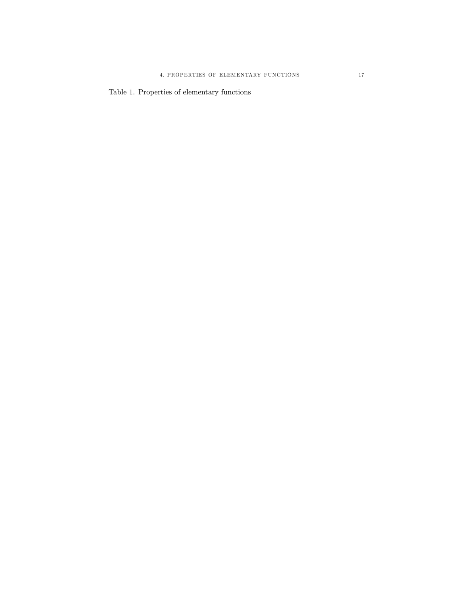Table 1. Properties of elementary functions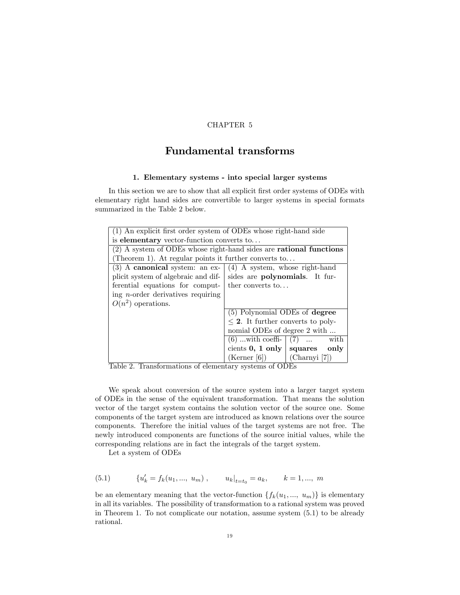# Fundamental transforms

# 1. Elementary systems - into special larger systems

In this section we are to show that all explicit first order systems of ODEs with elementary right hand sides are convertible to larger systems in special formats summarized in the Table 2 below.

| (1) An explicit first order system of ODEs whose right-hand side            |                                                                            |  |
|-----------------------------------------------------------------------------|----------------------------------------------------------------------------|--|
| is elementary vector-function converts to                                   |                                                                            |  |
| $(2)$ A system of ODEs whose right-hand sides are <b>rational functions</b> |                                                                            |  |
| (Theorem 1). At regular points it further converts to                       |                                                                            |  |
|                                                                             | (3) A canonical system: an ex- $\mid$ (4) A system, whose right-hand       |  |
|                                                                             | plicit system of algebraic and dif- sides are <b>polynomials</b> . It fur- |  |
| ferential equations for comput- the converts to                             |                                                                            |  |
| ing <i>n</i> -order derivatives requiring                                   |                                                                            |  |
| $O(n^2)$ operations.                                                        |                                                                            |  |
|                                                                             | (5) Polynomial ODEs of degree                                              |  |
|                                                                             | $\leq$ 2. It further converts to poly-                                     |  |
|                                                                             | nomial ODEs of degree 2 with                                               |  |
|                                                                             | $(6)$ with coeffi- $(7)$<br>with                                           |  |
|                                                                             | cients $0, 1$ only   squares only                                          |  |
|                                                                             | $(Kerner [6])$ $(Charnyi [7])$                                             |  |

Table 2. Transformations of elementary systems of ODEs

We speak about conversion of the source system into a larger target system of ODEs in the sense of the equivalent transformation. That means the solution vector of the target system contains the solution vector of the source one. Some components of the target system are introduced as known relations over the source components. Therefore the initial values of the target systems are not free. The newly introduced components are functions of the source initial values, while the corresponding relations are in fact the integrals of the target system.

Let a system of ODEs

(5.1) 
$$
\{u'_k = f_k(u_1, ..., u_m), \qquad u_k|_{t=t_0} = a_k, \qquad k = 1, ..., m
$$

be an elementary meaning that the vector-function  $\{f_k(u_1, ..., u_m)\}\$ is elementary in all its variables. The possibility of transformation to a rational system was proved in Theorem 1. To not complicate our notation, assume system (5.1) to be already rational.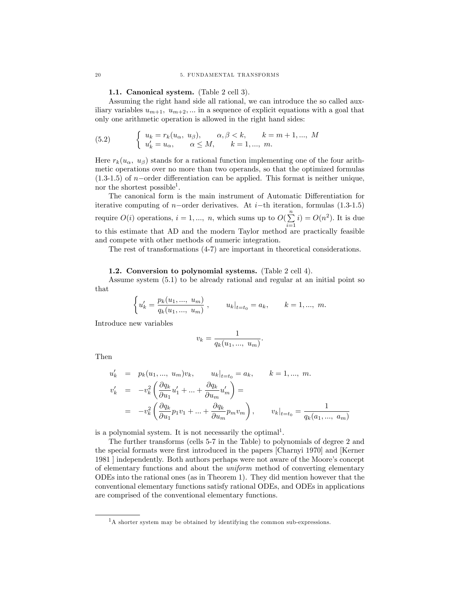#### 1.1. Canonical system. (Table 2 cell 3).

Assuming the right hand side all rational, we can introduce the so called auxiliary variables  $u_{m+1}$ ,  $u_{m+2}$ , ... in a sequence of explicit equations with a goal that only one arithmetic operation is allowed in the right hand sides:

(5.2) 
$$
\begin{cases} u_k = r_k(u_\alpha, u_\beta), & \alpha, \beta < k, \quad k = m+1, ..., M \\ u'_k = u_\alpha, & \alpha \le M, \quad k = 1, ..., m. \end{cases}
$$

Here  $r_k(u_\alpha, u_\beta)$  stands for a rational function implementing one of the four arithmetic operations over no more than two operands, so that the optimized formulas  $(1.3-1.5)$  of *n*-order differentiation can be applied. This format is neither unique, nor the shortest possible<sup>1</sup>.

The canonical form is the main instrument of Automatic Differentiation for iterative computing of *n*-order derivatives. At *i*-th iteration, formulas  $(1.3-1.5)$ require  $O(i)$  operations,  $i = 1, ..., n$ , which sums up to  $O(\sum_{i=1}^{n} n_i)$  $i=1$  $i) = O(n^2)$ . It is due to this estimate that AD and the modern Taylor method are practically feasible and compete with other methods of numeric integration.

The rest of transformations (4-7) are important in theoretical considerations.

#### 1.2. Conversion to polynomial systems. (Table 2 cell 4).

Assume system (5.1) to be already rational and regular at an initial point so that

$$
\left\{u_k'=\frac{p_k(u_1,...,u_m)}{q_k(u_1,...,u_m)}\;,\qquad u_k|_{t=t_0}=a_k,\qquad k=1,...,\;m.
$$

Introduce new variables

$$
v_k = \frac{1}{q_k(u_1, ..., u_m)}.
$$

Then

$$
u'_{k} = p_{k}(u_{1}, ..., u_{m})v_{k}, \t u_{k}|_{t=t_{0}} = a_{k}, \t k = 1, ..., m.
$$
  

$$
v'_{k} = -v_{k}^{2} \left( \frac{\partial q_{k}}{\partial u_{1}} u'_{1} + ... + \frac{\partial q_{k}}{\partial u_{m}} u'_{m} \right) =
$$
  

$$
= -v_{k}^{2} \left( \frac{\partial q_{k}}{\partial u_{1}} p_{1} v_{1} + ... + \frac{\partial q_{k}}{\partial u_{m}} p_{m} v_{m} \right), \t v_{k}|_{t=t_{0}} = \frac{1}{q_{k}(a_{1}, ..., a_{m})}
$$

is a polynomial system. It is not necessarily the optimal<sup>1</sup>.

The further transforms (cells 5-7 in the Table) to polynomials of degree 2 and the special formats were first introduced in the papers [Charnyi 1970] and [Kerner 1981 | independently. Both authors perhaps were not aware of the Moore's concept of elementary functions and about the uniform method of converting elementary ODEs into the rational ones (as in Theorem 1). They did mention however that the conventional elementary functions satisfy rational ODEs, and ODEs in applications are comprised of the conventional elementary functions.

<sup>&</sup>lt;sup>1</sup>A shorter system may be obtained by identifying the common sub-expressions.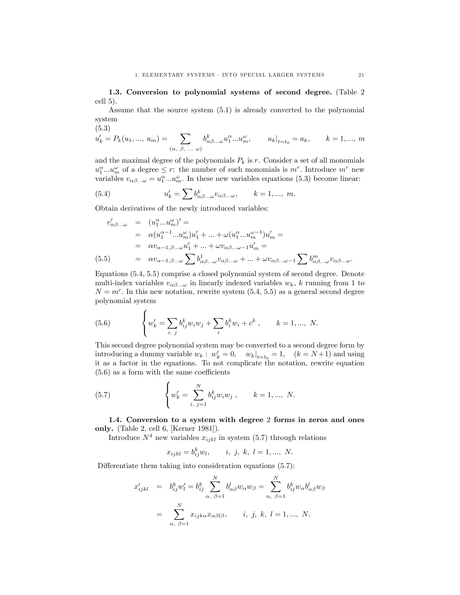1.3. Conversion to polynomial systems of second degree. (Table 2 cell 5).

Assume that the source system (5.1) is already converted to the polynomial system

(5.3)

$$
u'_{k} = P_{k}(u_{1}, ..., u_{m}) = \sum_{(\alpha, \beta, ... \omega)} b^{k}_{\alpha\beta... \omega} u_{1}^{\alpha} ... u_{m}^{\omega}, \qquad u_{k}|_{t=t_{0}} = a_{k}, \qquad k = 1, ..., m
$$

and the maximal degree of the polynomials  $P_k$  is r. Consider a set of all monomials  $u_1^{\alpha}...u_m^{\omega}$  of a degree  $\leq r$ : the number of such monomials is  $m^r$ . Introduce  $m^r$  new variables  $v_{\alpha\beta...\omega} = u_1^{\alpha}...u_m^{\omega}$ . In these new variables equations (5.3) become linear:

(5.4) 
$$
u'_{k} = \sum b^{k}_{\alpha\beta...\omega} v_{\alpha\beta...\omega}, \qquad k = 1, ..., m.
$$

Obtain derivatives of the newly introduced variables:

$$
v'_{\alpha\beta...\omega} = (u_1^{\alpha}...u_m^{\omega})' =
$$
  
=  $\alpha(u_1^{\alpha-1}...u_m^{\omega})u'_1 + ... + \omega(u_1^{\alpha}...u_m^{\omega-1})u'_m =$   
=  $\alpha v_{\alpha-1,\beta...{\omega}}u'_1 + ... + \omega v_{\alpha\beta...\omega-1}u'_m =$   
(5.5) =  $\alpha v_{\alpha-1,\beta...\omega} \sum b_{\alpha\beta...\omega}^1 v_{\alpha\beta...\omega} + ... + \omega v_{\alpha\beta...\omega-1} \sum b_{\alpha\beta...\omega}^m v_{\alpha\beta...\omega}.$ 

Equations (5.4, 5.5) comprise a closed polynomial system of second degree. Denote multi-index variables  $v_{\alpha\beta}$  in linearly indexed variables  $w_k$ , k running from 1 to  $N = m<sup>r</sup>$ . In this new notation, rewrite system (5.4, 5.5) as a general second degree polynomial system

(5.6) 
$$
\left\{ w'_k = \sum_{i, j} b_{ij}^k w_i w_j + \sum_i b_i^k w_i + c^k \right\}, \qquad k = 1, ..., N.
$$

This second degree polynomial system may be converted to a second degree form by introducing a dummy variable  $w_k$ :  $w'_k = 0$ ,  $w_k|_{t=t_0} = 1$ ,  $(k = N+1)$  and using it as a factor in the equations. To not complicate the notation, rewrite equation  $(5.6)$  as a form with the same coefficients

(5.7) 
$$
\left\{ w'_k = \sum_{i, j=1}^N b_{ij}^k w_i w_j, \qquad k = 1, ..., N. \right\}
$$

 $\overline{\phantom{a}}$ 

1.4. Conversion to a system with degree 2 forms in zeros and ones only. (Table 2, cell 6, [Kerner 1981]).

Introduce  $N^4$  new variables  $x_{ijkl}$  in system (5.7) through relations

 $x_{ijkl} = b_{ij}^k w_l,$  i, j, k,  $l = 1, ..., N$ .

Differentiate them taking into consideration equations  $(5.7)$ :

$$
x'_{ijkl} = b^k_{ij} w'_l = b^k_{ij} \sum_{\alpha, \beta=1}^N b^l_{\alpha\beta} w_\alpha w_\beta = \sum_{\alpha, \beta=1}^N b^k_{ij} w_\alpha b^l_{\alpha\beta} w_\beta
$$

$$
= \sum_{\alpha, \beta=1}^N x_{ijk\alpha} x_{\alpha\beta l\beta}, \qquad i, j, k, l = 1, ..., N.
$$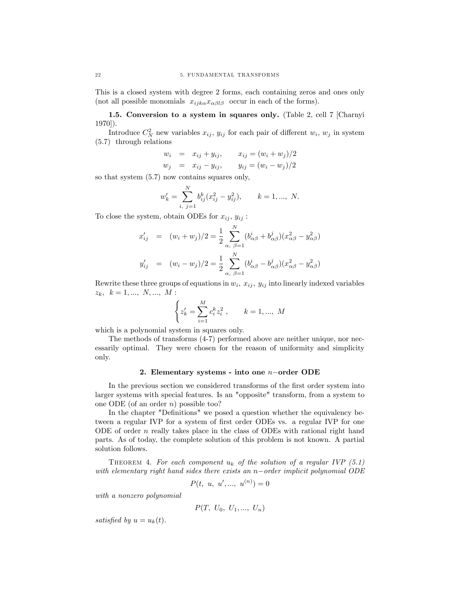This is a closed system with degree 2 forms, each containing zeros and ones only (not all possible monomials  $x_{ijk\alpha}x_{\alpha\beta l\beta}$  occur in each of the forms).

1.5. Conversion to a system in squares only. (Table 2, cell 7 [Charnyi 1970]).

Introduce  $C_N^2$  new variables  $x_{ij}$ ,  $y_{ij}$  for each pair of different  $w_i$ ,  $w_j$  in system (5.7) through relations

$$
w_i = x_{ij} + y_{ij},
$$
  $x_{ij} = (w_i + w_j)/2$   
\n $w_j = x_{ij} - y_{ij},$   $y_{ij} = (w_i - w_j)/2$ 

so that system (5.7) now contains squares only,

$$
w'_{k} = \sum_{i, j=1}^{N} b_{ij}^{k} (x_{ij}^{2} - y_{ij}^{2}), \qquad k = 1, ..., N.
$$

To close the system, obtain ODEs for  $x_{ij}$ ,  $y_{ij}$ :

$$
x'_{ij} = (w_i + w_j)/2 = \frac{1}{2} \sum_{\alpha, \ \beta=1}^{N} (b^i_{\alpha\beta} + b^j_{\alpha\beta})(x^2_{\alpha\beta} - y^2_{\alpha\beta})
$$
  

$$
y'_{ij} = (w_i - w_j)/2 = \frac{1}{2} \sum_{\alpha, \ \beta=1}^{N} (b^i_{\alpha\beta} - b^j_{\alpha\beta})(x^2_{\alpha\beta} - y^2_{\alpha\beta})
$$

Rewrite these three groups of equations in  $w_i$ ,  $x_{ij}$ ,  $y_{ij}$  into linearly indexed variables  $z_k, k = 1, ..., N, ..., M$ :

$$
\left\{ z_{k}^{\prime}=\sum_{i=1}^{M}c_{i}^{k}z_{i}^{2}\;,\qquad k=1,...,\;M\right.
$$

which is a polynomial system in squares only.

The methods of transforms (4-7) performed above are neither unique, nor necessarily optimal. They were chosen for the reason of uniformity and simplicity only.

#### 2. Elementary systems - into one  $n$ -order ODE

In the previous section we considered transforms of the first order system into larger systems with special features. Is an "opposite" transform, from a system to one ODE (of an order  $n$ ) possible too?

In the chapter "Definitions" we posed a question whether the equivalency between a regular IVP for a system of first order ODEs vs. a regular IVP for one ODE of order  $n$  really takes place in the class of ODEs with rational right hand parts. As of today, the complete solution of this problem is not known. A partial solution follows.

THEOREM 4. For each component  $u_k$  of the solution of a regular IVP (5.1) with elementary right hand sides there exists an  $n$ -order implicit polynomial ODE

$$
P(t, u, u', ..., u^{(n)}) = 0
$$

with a nonzero polynomial

$$
P(T, U_0, U_1, ..., U_n)
$$

satisfied by  $u = u_k(t)$ .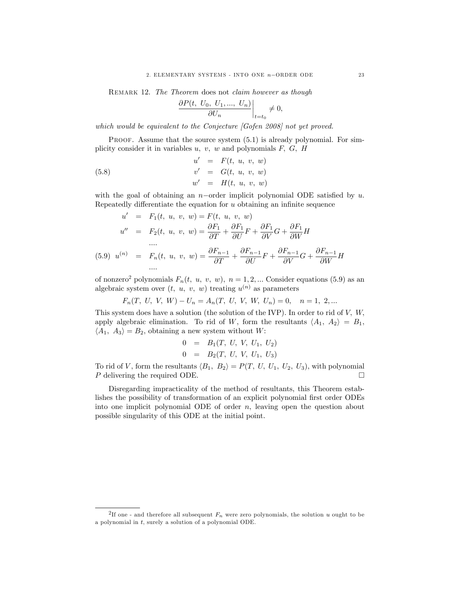REMARK 12. The Theorem does not claim however as though

$$
\left. \frac{\partial P(t, U_0, U_1, ..., U_n)}{\partial U_n} \right|_{t=t_0} \neq 0,
$$

which would be equivalent to the Conjecture [Gofen 2008] not yet proved.

PROOF. Assume that the source system  $(5.1)$  is already polynomial. For simplicity consider it in variables  $u, v, w$  and polynomials  $F, G, H$ 

(5.8) 
$$
u' = F(t, u, v, w) \n v' = G(t, u, v, w) \n w' = H(t, u, v, w)
$$

with the goal of obtaining an  $n$ -order implicit polynomial ODE satisfied by u. Repeatedly differentiate the equation for  $u$  obtaining an infinite sequence

$$
u' = F_1(t, u, v, w) = F(t, u, v, w)
$$
  
\n
$$
u'' = F_2(t, u, v, w) = \frac{\partial F_1}{\partial T} + \frac{\partial F_1}{\partial U}F + \frac{\partial F_1}{\partial V}G + \frac{\partial F_1}{\partial W}H
$$
  
\n(5.9) 
$$
u^{(n)} = F_n(t, u, v, w) = \frac{\partial F_{n-1}}{\partial T} + \frac{\partial F_{n-1}}{\partial U}F + \frac{\partial F_{n-1}}{\partial V}G + \frac{\partial F_{n-1}}{\partial W}H
$$
  
\n...

of nonzero<sup>2</sup> polynomials  $F_n(t, u, v, w)$ ,  $n = 1, 2, ...$  Consider equations (5.9) as an algebraic system over  $(t, u, v, w)$  treating  $u^{(n)}$  as parameters

$$
F_n(T, U, V, W) - U_n = A_n(T, U, V, W, U_n) = 0, \quad n = 1, 2, ...
$$

This system does have a solution (the solution of the IVP). In order to rid of  $V$ ,  $W$ , apply algebraic elimination. To rid of W, form the resultants  $\langle A_1, A_2 \rangle = B_1$ ,  $\langle A_1, A_3 \rangle = B_2$ , obtaining a new system without W:

$$
\begin{array}{rcl}\n0 & = & B_1(T, U, V, U_1, U_2) \\
0 & = & B_2(T, U, V, U_1, U_3)\n\end{array}
$$

To rid of V, form the resultants  $\langle B_1, B_2 \rangle = P(T, U, U_1, U_2, U_3)$ , with polynomial P delivering the required ODE P delivering the required ODE.

Disregarding impracticality of the method of resultants, this Theorem establishes the possibility of transformation of an explicit polynomial first order ODEs into one implicit polynomial ODE of order  $n$ , leaving open the question about possible singularity of this ODE at the initial point.

<sup>&</sup>lt;sup>2</sup>If one - and therefore all subsequent  $F_n$  were zero polynomials, the solution u ought to be a polynomial in t, surely a solution of a polynomial ODE.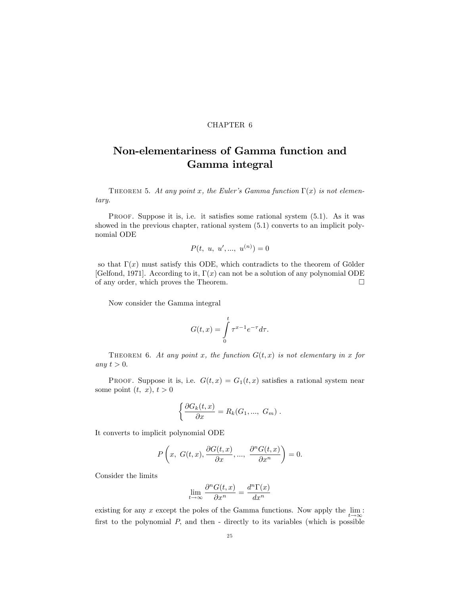# Non-elementariness of Gamma function and Gamma integral

THEOREM 5. At any point x, the Euler's Gamma function  $\Gamma(x)$  is not elementary.

PROOF. Suppose it is, i.e. it satisfies some rational system  $(5.1)$ . As it was showed in the previous chapter, rational system (5.1) converts to an implicit polynomial ODE

$$
P(t, u, u', ..., u^{(n)}) = 0
$$

so that  $\Gamma(x)$  must satisfy this ODE, which contradicts to the theorem of Gölder [Gelfond, 1971]. According to it,  $\Gamma(x)$  can not be a solution of any polynomial ODE of any order, which proves the Theorem.

Now consider the Gamma integral

$$
G(t,x) = \int_{0}^{t} \tau^{x-1} e^{-\tau} d\tau.
$$

THEOREM 6. At any point x, the function  $G(t, x)$  is not elementary in x for any  $t > 0$ .

PROOF. Suppose it is, i.e.  $G(t, x) = G_1(t, x)$  satisfies a rational system near some point  $(t, x)$ ,  $t > 0$ 

$$
\left\{\frac{\partial G_k(t,x)}{\partial x}=R_k(G_1,..., G_m)\right..
$$

It converts to implicit polynomial ODE

$$
P\left(x, G(t, x), \frac{\partial G(t, x)}{\partial x}, ..., \frac{\partial^{n} G(t, x)}{\partial x^{n}}\right) = 0.
$$

Consider the limits

$$
\lim_{t \to \infty} \frac{\partial^n G(t, x)}{\partial x^n} = \frac{d^n \Gamma(x)}{dx^n}
$$

existing for any x except the poles of the Gamma functions. Now apply the  $\lim_{t \to \infty}$ : first to the polynomial  $P$ , and then - directly to its variables (which is possible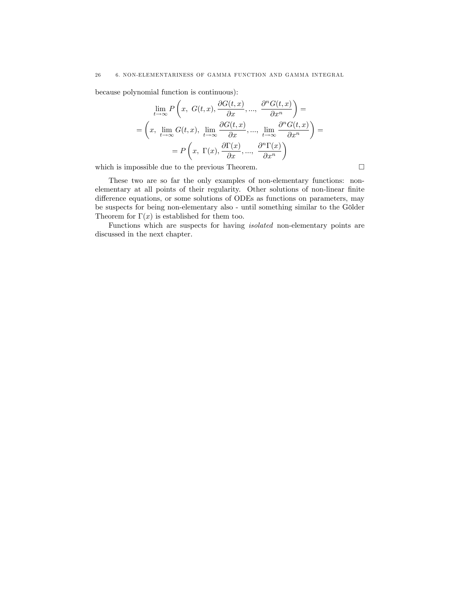because polynomial function is continuous):

$$
\lim_{t \to \infty} P\left(x, G(t, x), \frac{\partial G(t, x)}{\partial x}, \dots, \frac{\partial^n G(t, x)}{\partial x^n}\right) =
$$
\n
$$
= \left(x, \lim_{t \to \infty} G(t, x), \lim_{t \to \infty} \frac{\partial G(t, x)}{\partial x}, \dots, \lim_{t \to \infty} \frac{\partial^n G(t, x)}{\partial x^n}\right) =
$$
\n
$$
= P\left(x, \Gamma(x), \frac{\partial \Gamma(x)}{\partial x}, \dots, \frac{\partial^n \Gamma(x)}{\partial x^n}\right)
$$

which is impossible due to the previous Theorem.  $\hfill \Box$ 

These two are so far the only examples of non-elementary functions: nonelementary at all points of their regularity. Other solutions of non-linear finite difference equations, or some solutions of ODEs as functions on parameters, may be suspects for being non-elementary also - until something similar to the Gölder Theorem for  $\Gamma(x)$  is established for them too.

Functions which are suspects for having isolated non-elementary points are discussed in the next chapter.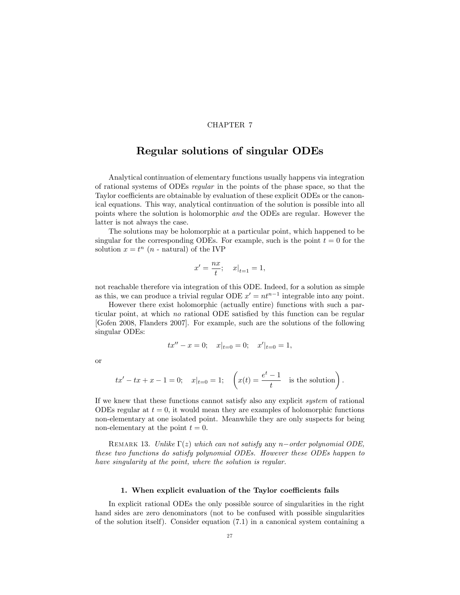# Regular solutions of singular ODEs

Analytical continuation of elementary functions usually happens via integration of rational systems of ODEs regular in the points of the phase space, so that the Taylor coefficients are obtainable by evaluation of these explicit ODEs or the canonical equations. This way, analytical continuation of the solution is possible into all points where the solution is holomorphic and the ODEs are regular. However the latter is not always the case.

The solutions may be holomorphic at a particular point, which happened to be singular for the corresponding ODEs. For example, such is the point  $t = 0$  for the solution  $x = t^n$  (*n* - natural) of the IVP

$$
x' = \frac{nx}{t};
$$
  $x|_{t=1} = 1,$ 

not reachable therefore via integration of this ODE. Indeed, for a solution as simple as this, we can produce a trivial regular ODE  $x' = nt^{n-1}$  integrable into any point.

However there exist holomorphic (actually entire) functions with such a particular point, at which no rational ODE satisfied by this function can be regular [Gofen 2008, Flanders 2007]. For example, such are the solutions of the following singular ODEs:

$$
tx'' - x = 0; \quad x|_{t=0} = 0; \quad x'|_{t=0} = 1,
$$

or

$$
tx' - tx + x - 1 = 0;
$$
  $x|_{t=0} = 1;$   $\left(x(t) = \frac{e^t - 1}{t}\right)$  is the solution.

If we knew that these functions cannot satisfy also any explicit system of rational ODEs regular at  $t = 0$ , it would mean they are examples of holomorphic functions non-elementary at one isolated point. Meanwhile they are only suspects for being non-elementary at the point  $t = 0$ .

REMARK 13. Unlike  $\Gamma(z)$  which can not satisfy any n-order polynomial ODE, these two functions do satisfy polynomial ODEs. However these ODEs happen to have singularity at the point, where the solution is regular.

### 1. When explicit evaluation of the Taylor coefficients fails

In explicit rational ODEs the only possible source of singularities in the right hand sides are zero denominators (not to be confused with possible singularities of the solution itself). Consider equation (7.1) in a canonical system containing a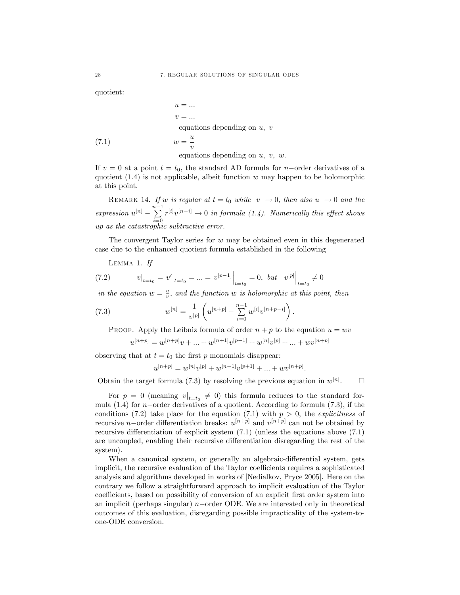quotient:

$$
u = ...
$$
  
\n
$$
v = ...
$$
  
\nequations depending on  $u, v$   
\n(7.1)  
\n
$$
w = \frac{u}{v}
$$
  
\nequations depending on  $u, v, w$ .

If  $v = 0$  at a point  $t = t_0$ , the standard AD formula for *n*-order derivatives of a quotient  $(1.4)$  is not applicable, albeit function w may happen to be holomorphic at this point.

REMARK 14. If w is regular at  $t = t_0$  while  $v \rightarrow 0$ , then also  $u \rightarrow 0$  and the expression  $u^{[n]}$  –  $\sum_{n=0}^{n-1}$  $i=0$  $r^{[i]}v^{[n-i]} \to 0$  in formula (1.4). Numerically this effect shows up as the catastrophic subtractive error.

The convergent Taylor series for  $w$  may be obtained even in this degenerated case due to the enhanced quotient formula established in the following

Lemma 1. If

(7.2) 
$$
v|_{t=t_0} = v'|_{t=t_0} = ... = v^{[p-1]}|_{t=t_0} = 0, \text{ but } v^{[p]}|_{t=t_0} \neq 0
$$

in the equation  $w = \frac{u}{v}$ , and the function w is holomorphic at this point, then

(7.3) 
$$
w^{[n]} = \frac{1}{v^{[p]}} \left( u^{[n+p]} - \sum_{i=0}^{n-1} w^{[i]} v^{[n+p-i]} \right).
$$

PROOF. Apply the Leibniz formula of order  $n + p$  to the equation  $u = wv$ 

$$
u^{[n+p]} = w^{[n+p]}v + \ldots + w^{[n+1]}v^{[p-1]} + w^{[n]}v^{[p]} + \ldots + w^{[n+p]}
$$

observing that at  $t = t_0$  the first p monomials disappear:

$$
u^{[n+p]} = w^{[n]}v^{[p]} + w^{[n-1]}v^{[p+1]} + \dots + w^{[n+p]}.
$$

Obtain the target formula (7.3) by resolving the previous equation in  $w^{[n]}$  $\Box$ 

For  $p = 0$  (meaning  $v|_{t=t_0} \neq 0$ ) this formula reduces to the standard formula  $(1.4)$  for *n*-order derivatives of a quotient. According to formula  $(7.3)$ , if the conditions (7.2) take place for the equation (7.1) with  $p > 0$ , the *explicitness* of recursive *n*-order differentiation breaks:  $u^{[n+p]}$  and  $v^{[n+p]}$  can not be obtained by recursive differentiation of explicit system  $(7.1)$  (unless the equations above  $(7.1)$ ) are uncoupled, enabling their recursive differentiation disregarding the rest of the system).

When a canonical system, or generally an algebraic-differential system, gets implicit, the recursive evaluation of the Taylor coefficients requires a sophisticated analysis and algorithms developed in works of [Nedialkov, Pryce 2005]. Here on the contrary we follow a straightforward approach to implicit evaluation of the Taylor coefficients, based on possibility of conversion of an explicit first order system into an implicit (perhaps singular)  $n$ -order ODE. We are interested only in theoretical outcomes of this evaluation, disregarding possible impracticality of the system-toone-ODE conversion.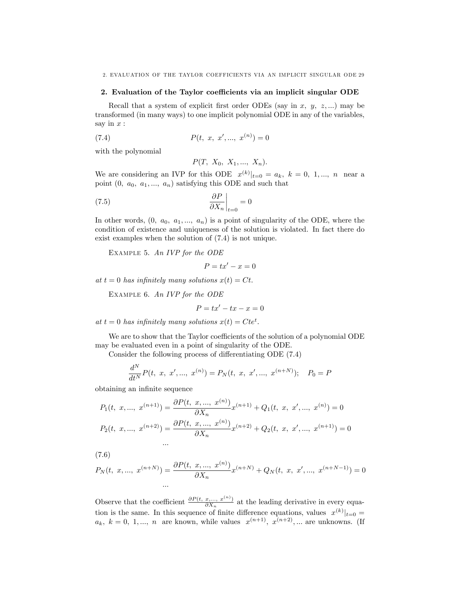2. EVALUATION OF THE TAYLOR COEFFICIENTS VIA AN IMPLICIT SINGULAR ODE 29

#### 2. Evaluation of the Taylor coefficients via an implicit singular ODE

Recall that a system of explicit first order ODEs (say in x, y, z, ...) may be transformed (in many ways) to one implicit polynomial ODE in any of the variables, say in  $x$ :

(7.4) 
$$
P(t, x, x', ..., x^{(n)}) = 0
$$

with the polynomial

$$
P(T, X_0, X_1, ..., X_n).
$$

We are considering an IVP for this ODE  $x^{(k)}|_{t=0} = a_k, k = 0, 1, ..., n$  near a point  $(0, a_0, a_1, ..., a_n)$  satisfying this ODE and such that

(7.5) 
$$
\left. \frac{\partial P}{\partial X_n} \right|_{t=0} = 0
$$

In other words,  $(0, a_0, a_1, ..., a_n)$  is a point of singularity of the ODE, where the condition of existence and uniqueness of the solution is violated. In fact there do exist examples when the solution of  $(7.4)$  is not unique.

EXAMPLE 5. An IVP for the ODE

$$
P = tx' - x = 0
$$

at  $t = 0$  has infinitely many solutions  $x(t) = Ct$ .

EXAMPLE 6. An IVP for the ODE

 $\ddots$ 

$$
P = tx' - tx - x = 0
$$

at  $t = 0$  has infinitely many solutions  $x(t) = Cte^t$ .

We are to show that the Taylor coefficients of the solution of a polynomial ODE may be evaluated even in a point of singularity of the ODE.

Consider the following process of differentiating ODE  $(7.4)$ 

$$
\frac{d^N}{dt^N}P(t, x, x', ..., x^{(n)}) = P_N(t, x, x', ..., x^{(n+N)}); \quad P_0 = P
$$

obtaining an infinite sequence

$$
P_1(t, x, ..., x^{(n+1)}) = \frac{\partial P(t, x, ..., x^{(n)})}{\partial X_n} x^{(n+1)} + Q_1(t, x, x', ..., x^{(n)}) = 0
$$
  

$$
P_2(t, x, ..., x^{(n+2)}) = \frac{\partial P(t, x, ..., x^{(n)})}{\partial X_n} x^{(n+2)} + Q_2(t, x, x', ..., x^{(n+1)}) = 0
$$

 $(7.6)$ 

$$
P_N(t, x, ..., x^{(n+N)}) = \frac{\partial P(t, x, ..., x^{(n)})}{\partial X_n} x^{(n+N)} + Q_N(t, x, x', ..., x^{(n+N-1)}) = 0
$$

Observe that the coefficient  $\frac{\partial P(t, x, \ldots, x^{(n)})}{\partial X_n}$  at the leading derivative in every equation is the same. In this sequence of finite difference equations, values  $x^{(k)}|_{t=0}$  $a_k, k = 0, 1, ..., n$  are known, while values  $x^{(n+1)}$ ,  $x^{(n+2)}$ ,... are unknowns. (If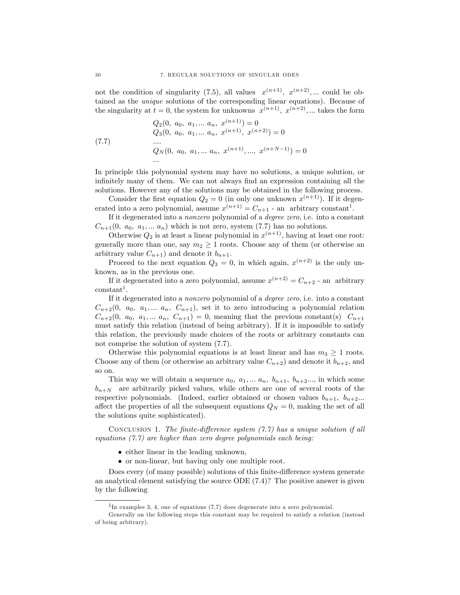not the condition of singularity (7.5), all values  $x^{(n+1)}$ ,  $x^{(n+2)}$ ,... could be obtained as the unique solutions of the corresponding linear equations). Because of the singularity at  $t = 0$ , the system for unknowns  $x^{(n+1)}$ ,  $x^{(n+2)}$ , ... takes the form

(7.7) 
$$
Q_2(0, a_0, a_1, \dots a_n, x^{(n+1)}) = 0
$$

$$
Q_3(0, a_0, a_1, \dots a_n, x^{(n+1)}, x^{(n+2)}) = 0
$$

$$
\dots
$$

$$
Q_N(0, a_0, a_1, \dots a_n, x^{(n+1)}, \dots, x^{(n+N-1)}) = 0
$$

$$
\dots
$$

In principle this polynomial system may have no solutions, a unique solution, or infinitely many of them. We can not always find an expression containing all the solutions. However any of the solutions may be obtained in the following process.

Consider the first equation  $Q_2 = 0$  (in only one unknown  $x^{(n+1)}$ ). If it degenerated into a zero polynomial, assume  $x^{(n+1)} = C_{n+1}$  - an arbitrary constant<sup>1</sup>.

If it degenerated into a nonzero polynomial of a degree zero, i.e. into a constant  $C_{n+1}(0, a_0, a_1, \ldots, a_n)$  which is not zero, system (7.7) has no solutions.

Otherwise  $Q_2$  is at least a linear polynomial in  $x^{(n+1)}$ , having at least one root: generally more than one, say  $m_2 \geq 1$  roots. Choose any of them (or otherwise an arbitrary value  $C_{n+1}$ ) and denote it  $b_{n+1}$ .

Proceed to the next equation  $Q_3 = 0$ , in which again,  $x^{(n+2)}$  is the only unknown, as in the previous one.

If it degenerated into a zero polynomial, assume  $x^{(n+2)} = C_{n+2}$  - an arbitrary  $constant<sup>1</sup>$ .

If it degenerated into a nonzero polynomial of a degree zero, i.e. into a constant  $C_{n+2}(0, a_0, a_1,... a_n, C_{n+1}),$  set it to zero introducing a polynomial relation  $C_{n+2}(0, a_0, a_1,... a_n, C_{n+1}) = 0$ , meaning that the previous constant(s)  $C_{n+1}$ must satisfy this relation (instead of being arbitrary). If it is impossible to satisfy this relation, the previously made choices of the roots or arbitrary constants can not comprise the solution of system (7.7).

Otherwise this polynomial equations is at least linear and has  $m_3 \geq 1$  roots. Choose any of them (or otherwise an arbitrary value  $C_{n+2}$ ) and denote it  $b_{n+2}$ , and so on.

This way we will obtain a sequence  $a_0, a_1, \ldots, a_n, b_{n+1}, b_{n+2} \ldots$ , in which some  $b_{n+N}$  are arbitrarily picked values, while others are one of several roots of the respective polynomials. (Indeed, earlier obtained or chosen values  $b_{n+1}$ ,  $b_{n+2}$ ... affect the properties of all the subsequent equations  $Q_N = 0$ , making the set of all the solutions quite sophisticated).

CONCLUSION 1. The finite-difference system  $(7.7)$  has a unique solution if all equations  $(7.7)$  are higher than zero degree polynomials each being:

- either linear in the leading unknown,
- or non-linear, but having only one multiple root.

Does every (of many possible) solutions of this finite-difference system generate an analytical element satisfying the source ODE (7.4)? The positive answer is given by the following

 $1_{\text{In examples 3, 4, one of equations (7.7) does degenerate into a zero polynomial.}$ 

Generally on the following steps this constant may be required to satisfy a relation (instead of being arbitrary).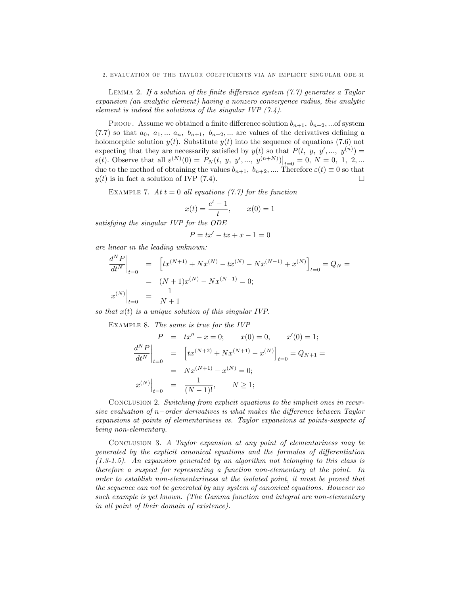LEMMA 2. If a solution of the finite difference system  $(7.7)$  generates a Taylor expansion (an analytic element) having a nonzero convergence radius, this analytic element is indeed the solutions of the singular IVP  $(7.4)$ .

PROOF. Assume we obtained a finite difference solution  $b_{n+1}, b_{n+2}, \dots$  of system (7.7) so that  $a_0, a_1, \ldots, a_n, b_{n+1}, b_{n+2}, \ldots$  are values of the derivatives defining a holomorphic solution  $y(t)$ . Substitute  $y(t)$  into the sequence of equations (7.6) not expecting that they are necessarily satisfied by  $y(t)$  so that  $P(t, y, y', ..., y^{(n)}) =$  $\varepsilon(t)$ . Observe that all  $\varepsilon^{(N)}(0) = P_N(t, y, y', ..., y^{(n+N)})\big|_{t=0} = 0, N = 0, 1, 2, ...$ due to the method of obtaining the values  $b_{n+1}$ ,  $b_{n+2}$ , .... Therefore  $\varepsilon(t) \equiv 0$  so that  $y(t)$  is in fact a solution of IVP (7.4).

EXAMPLE 7. At  $t = 0$  all equations (7.7) for the function

$$
x(t) = \frac{e^t - 1}{t}, \qquad x(0) = 1
$$

satisfying the singular IVP for the ODE

$$
P = tx' - tx + x - 1 = 0
$$

are linear in the leading unknown:

$$
\left. \frac{d^N P}{dt^N} \right|_{t=0} = \left[ tx^{(N+1)} + Nx^{(N)} - tx^{(N)} - Nx^{(N-1)} + x^{(N)} \right]_{t=0} = Q_N =
$$
  
\n
$$
= (N+1)x^{(N)} - Nx^{(N-1)} = 0;
$$
  
\n
$$
x^{(N)} \Big|_{t=0} = \frac{1}{N+1}
$$

so that  $x(t)$  is a unique solution of this singular IVP.

Example 8. The same is true for the IVP

$$
P = tx'' - x = 0; \t x(0) = 0, \t x'(0) = 1;
$$
  
\n
$$
\left. \frac{d^N P}{dt^N} \right|_{t=0} = \left[ tx^{(N+2)} + Nx^{(N+1)} - x^{(N)} \right]_{t=0} = Q_{N+1} =
$$
  
\n
$$
= Nx^{(N+1)} - x^{(N)} = 0;
$$
  
\n
$$
x^{(N)} \Big|_{t=0} = \frac{1}{(N-1)!}, \t N \ge 1;
$$

Conclusion 2. Switching from explicit equations to the implicit ones in recursive evaluation of  $n$ -order derivatives is what makes the difference between Taylor expansions at points of elementariness vs. Taylor expansions at points-suspects of being non-elementary.

Conclusion 3. A Taylor expansion at any point of elementariness may be generated by the explicit canonical equations and the formulas of differentiation  $(1.3-1.5)$ . An expansion generated by an algorithm not belonging to this class is therefore a suspect for representing a function non-elementary at the point. In order to establish non-elementariness at the isolated point, it must be proved that the sequence can not be generated by any system of canonical equations. However no such example is yet known. (The Gamma function and integral are non-elementary in all point of their domain of existence).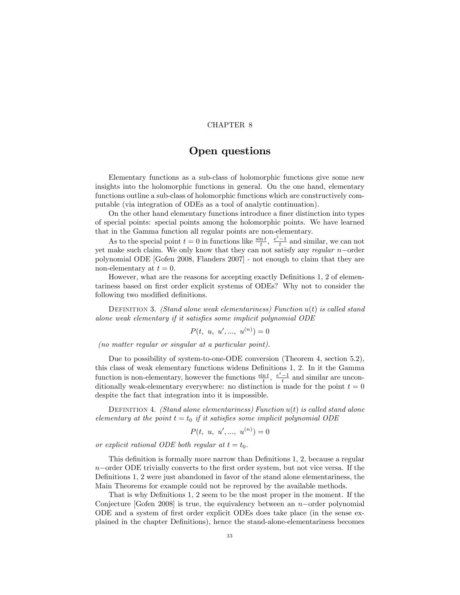# Open questions

Elementary functions as a sub-class of holomorphic functions give some new insights into the holomorphic functions in general. On the one hand, elementary functions outline a sub-class of holomorphic functions which are constructively computable (via integration of ODEs as a tool of analytic continuation).

On the other hand elementary functions introduce a finer distinction into types of special points: special points among the holomorphic points. We have learned that in the Gamma function all regular points are non-elementary.

As to the special point  $t = 0$  in functions like  $\frac{\sin t}{t}$ ,  $\frac{e^t - 1}{t}$  and similar, we can not yet make such claim. We only know that they can not satisfy any regular  $n$ -order polynomial ODE [Gofen 2008, Flanders 2007] - not enough to claim that they are non-elementary at  $t = 0$ .

However, what are the reasons for accepting exactly Definitions 1, 2 of elementariness based on first order explicit systems of ODEs? Why not to consider the following two modified definitions.

DEFINITION 3. (Stand alone weak elementariness) Function  $u(t)$  is called stand alone weak elementary if it satisfies some implicit polynomial ODE

$$
P(t, u, u', ..., u^{(n)}) = 0
$$

(no matter regular or singular at a particular point).

Due to possibility of system-to-one-ODE conversion (Theorem 4, section 5.2), this class of weak elementary functions widens Definitions 1, 2. In it the Gamma function is non-elementary, however the functions  $\frac{\sin t}{t}$ ,  $\frac{e^t-1}{t}$  and similar are unconditionally weak-elementary everywhere: no distinction is made for the point  $t = 0$ despite the fact that integration into it is impossible.

DEFINITION 4. *(Stand alone elementariness)* Function  $u(t)$  is called stand alone elementary at the point  $t = t_0$  if it satisfies some implicit polynomial ODE

$$
P(t, u, u', ..., u^{(n)}) = 0
$$

or explicit rational ODE both regular at  $t = t_0$ .

This definition is formally more narrow than Definitions  $1, 2$ , because a regular  $n$ -order ODE trivially converts to the first order system, but not vice versa. If the Definitions 1, 2 were just abandoned in favor of the stand alone elementariness, the Main Theorems for example could not be reproved by the available methods.

That is why Definitions 1, 2 seem to be the most proper in the moment. If the Conjecture [Gofen 2008] is true, the equivalency between an  $n$ -order polynomial ODE and a system of first order explicit ODEs does take place (in the sense explained in the chapter DeÖnitions), hence the stand-alone-elementariness becomes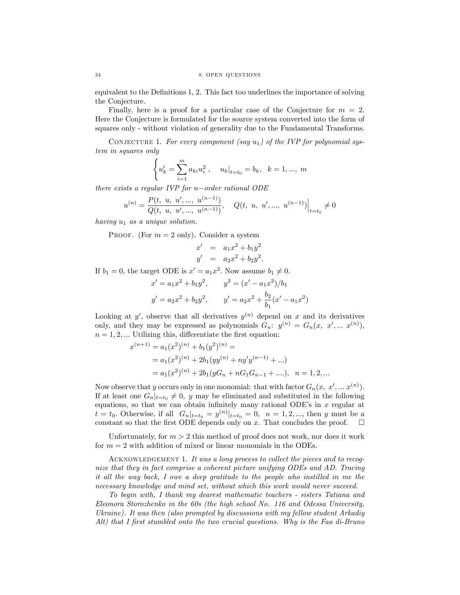equivalent to the Definitions 1, 2. This fact too underlines the importance of solving the Conjecture.

Finally, here is a proof for a particular case of the Conjecture for  $m = 2$ . Here the Conjecture is formulated for the source system converted into the form of squares only - without violation of generality due to the Fundamental Transforms.

CONJECTURE 1. For every component (say  $u_1$ ) of the IVP for polynomial system in squares only

$$
\begin{cases} u'_k = \sum_{i=1}^m a_{ki} u_i^2, & u_k|_{t=t_0} = b_k, \ k = 1, ..., m \end{cases}
$$

there exists a regular IVP for  $n$ -order rational ODE

$$
u^{(n)} = \frac{P(t, u, u', ..., u^{(n-1)})}{Q(t, u, u', ..., u^{(n-1)})}, \quad Q(t, u, u', ..., u^{(n-1)})\Big|_{t=t_0} \neq 0
$$

having  $u_1$  as a unique solution.

PROOF. (For  $m = 2$  only). Consider a system

$$
x' = a_1 x^2 + b_1 y^2
$$
  

$$
y' = a_2 x^2 + b_2 y^2.
$$

If  $b_1 = 0$ , the target ODE is  $x' = a_1 x^2$ . Now assume  $b_1 \neq 0$ .

$$
x' = a_1 x^2 + b_1 y^2, \qquad y^2 = (x' - a_1 x^2)/b_1
$$

$$
y' = a_2 x^2 + b_2 y^2, \qquad y' = a_2 x^2 + \frac{b_2}{b_1} (x' - a_1 x^2)
$$

Looking at y', observe that all derivatives  $y^{(n)}$  depend on x and its derivatives only, and they may be expressed as polynomials  $G_n: y^{(n)} = G_n(x, x', ... x^{(n)})$ ,  $n = 1, 2, \dots$  Utilizing this, differentiate the first equation:

$$
x^{(n+1)} = a_1(x^2)^{(n)} + b_1(y^2)^{(n)} =
$$
  
=  $a_1(x^2)^{(n)} + 2b_1(yy^{(n)} + ny'y^{(n-1)} + ...$   
=  $a_1(x^2)^{(n)} + 2b_1(yG_n + nG_1G_{n-1} + ...), \ \ n = 1, 2, ...$ 

Now observe that y occurs only in one monomial: that with factor  $G_n(x, x', ... x^{(n)})$ . If at least one  $G_n|_{t=t_0} \neq 0$ , y may be eliminated and substituted in the following equations, so that we can obtain infinitely many rational ODE's in  $x$  regular at  $t = t_0$ . Otherwise, if all  $G_n|_{t=t_0} = y^{(n)}|_{t=t_0} = 0$ ,  $n = 1, 2, ...,$  then y must be a constant so that the first ODE depends only on x. That concludes the proof.  $\Box$ 

Unfortunately, for  $m > 2$  this method of proof does not work, nor does it work for  $m = 2$  with addition of mixed or linear monomials in the ODEs.

ACKNOWLEDGEMENT 1. It was a long process to collect the pieces and to recognize that they in fact comprise a coherent picture unifying ODEs and AD. Tracing it all the way back, I owe a deep gratitude to the people who instilled in me the necessary knowledge and mind set, without which this work would never succeed.

To begin with, I thank my dearest mathematic teachers - sisters Tatiana and Eleonora Storozhenko in the 60s (the high school No. 116 and Odessa University, Ukraine). It was then (also prompted by discussions with my fellow student Arkadiy Alt) that I first stumbled onto the two crucial questions. Why is the Faa di-Bruno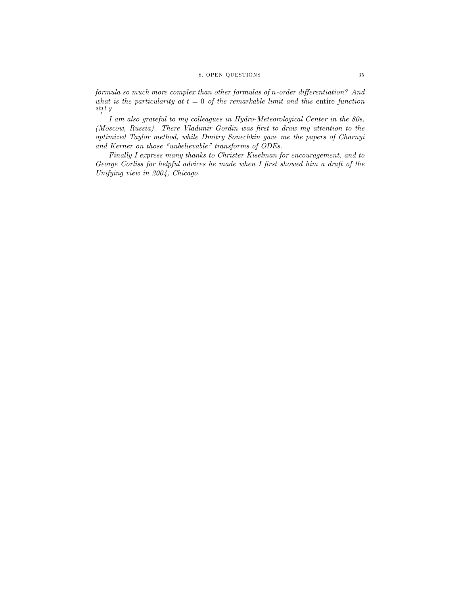# 8. OPEN QUESTIONS 35

formula so much more complex than other formulas of n-order differentiation? And what is the particularity at  $t = 0$  of the remarkable limit and this entire function  $\frac{\sin t}{t}$  ?

I am also grateful to my colleagues in Hydro-Meteorological Center in the 80s, (Moscow, Russia). There Vladimir Gordin was first to draw my attention to the optimized Taylor method, while Dmitry Sonechkin gave me the papers of Charnyi and Kerner on those "unbelievable" transforms of ODEs.

Finally I express many thanks to Christer Kiselman for encouragement, and to George Corliss for helpful advices he made when I first showed him a draft of the Unifying view in 2004, Chicago.